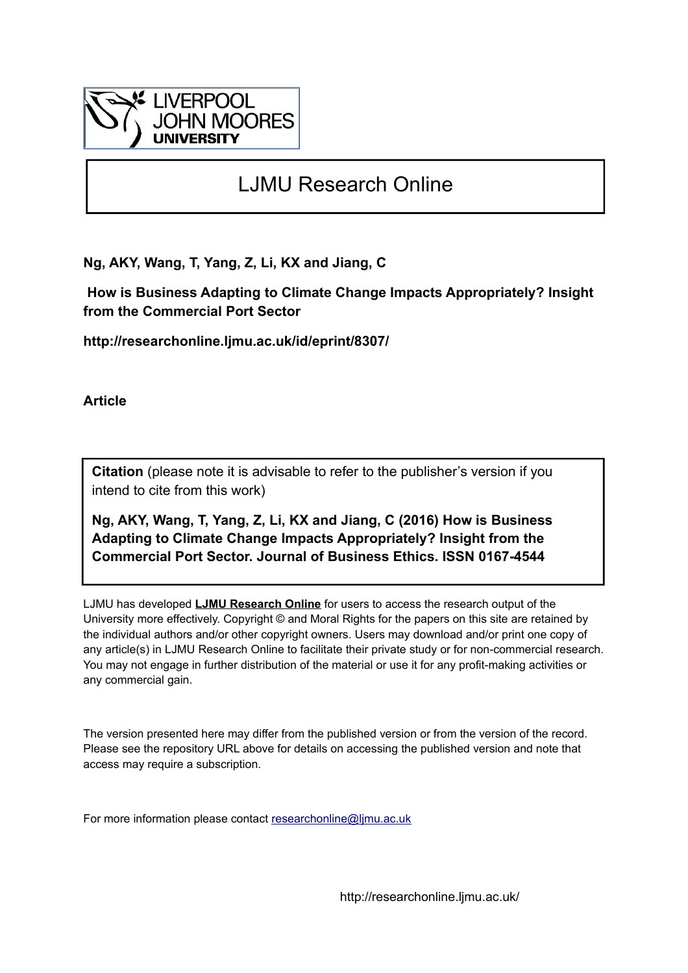

# LJMU Research Online

**Ng, AKY, Wang, T, Yang, Z, Li, KX and Jiang, C**

 **How is Business Adapting to Climate Change Impacts Appropriately? Insight from the Commercial Port Sector**

**http://researchonline.ljmu.ac.uk/id/eprint/8307/**

**Article**

**Citation** (please note it is advisable to refer to the publisher's version if you intend to cite from this work)

**Ng, AKY, Wang, T, Yang, Z, Li, KX and Jiang, C (2016) How is Business Adapting to Climate Change Impacts Appropriately? Insight from the Commercial Port Sector. Journal of Business Ethics. ISSN 0167-4544** 

LJMU has developed **[LJMU Research Online](http://researchonline.ljmu.ac.uk/)** for users to access the research output of the University more effectively. Copyright © and Moral Rights for the papers on this site are retained by the individual authors and/or other copyright owners. Users may download and/or print one copy of any article(s) in LJMU Research Online to facilitate their private study or for non-commercial research. You may not engage in further distribution of the material or use it for any profit-making activities or any commercial gain.

The version presented here may differ from the published version or from the version of the record. Please see the repository URL above for details on accessing the published version and note that access may require a subscription.

For more information please contact [researchonline@ljmu.ac.uk](mailto:researchonline@ljmu.ac.uk)

http://researchonline.ljmu.ac.uk/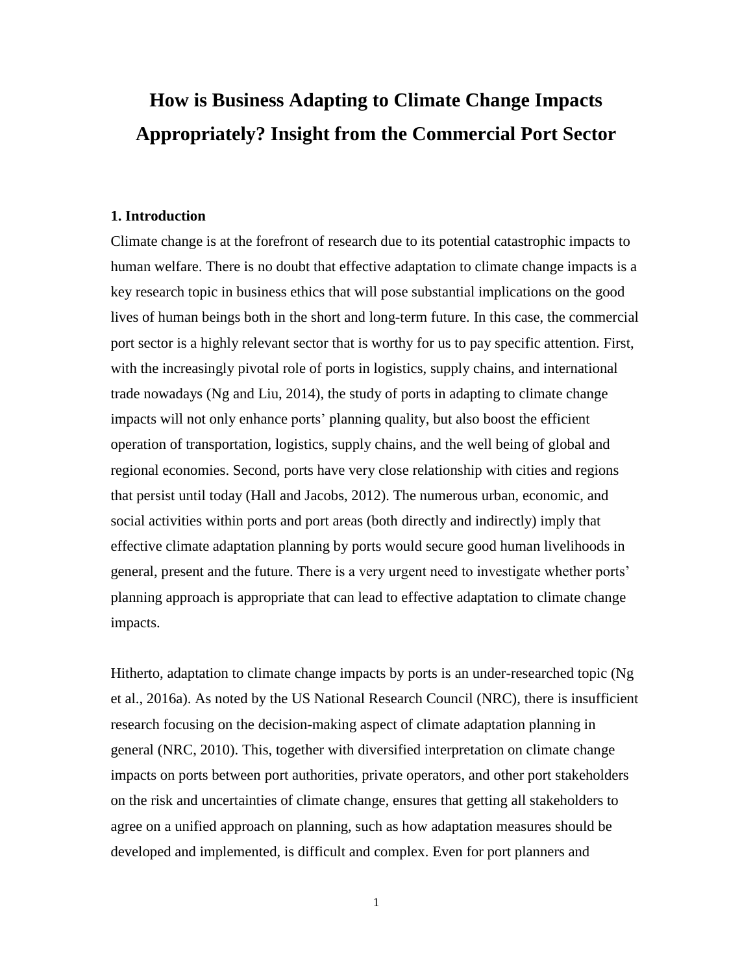# **How is Business Adapting to Climate Change Impacts Appropriately? Insight from the Commercial Port Sector**

## **1. Introduction**

Climate change is at the forefront of research due to its potential catastrophic impacts to human welfare. There is no doubt that effective adaptation to climate change impacts is a key research topic in business ethics that will pose substantial implications on the good lives of human beings both in the short and long-term future. In this case, the commercial port sector is a highly relevant sector that is worthy for us to pay specific attention. First, with the increasingly pivotal role of ports in logistics, supply chains, and international trade nowadays (Ng and Liu, 2014), the study of ports in adapting to climate change impacts will not only enhance ports' planning quality, but also boost the efficient operation of transportation, logistics, supply chains, and the well being of global and regional economies. Second, ports have very close relationship with cities and regions that persist until today (Hall and Jacobs, 2012). The numerous urban, economic, and social activities within ports and port areas (both directly and indirectly) imply that effective climate adaptation planning by ports would secure good human livelihoods in general, present and the future. There is a very urgent need to investigate whether ports' planning approach is appropriate that can lead to effective adaptation to climate change impacts.

Hitherto, adaptation to climate change impacts by ports is an under-researched topic (Ng et al., 2016a). As noted by the US National Research Council (NRC), there is insufficient research focusing on the decision-making aspect of climate adaptation planning in general (NRC, 2010). This, together with diversified interpretation on climate change impacts on ports between port authorities, private operators, and other port stakeholders on the risk and uncertainties of climate change, ensures that getting all stakeholders to agree on a unified approach on planning, such as how adaptation measures should be developed and implemented, is difficult and complex. Even for port planners and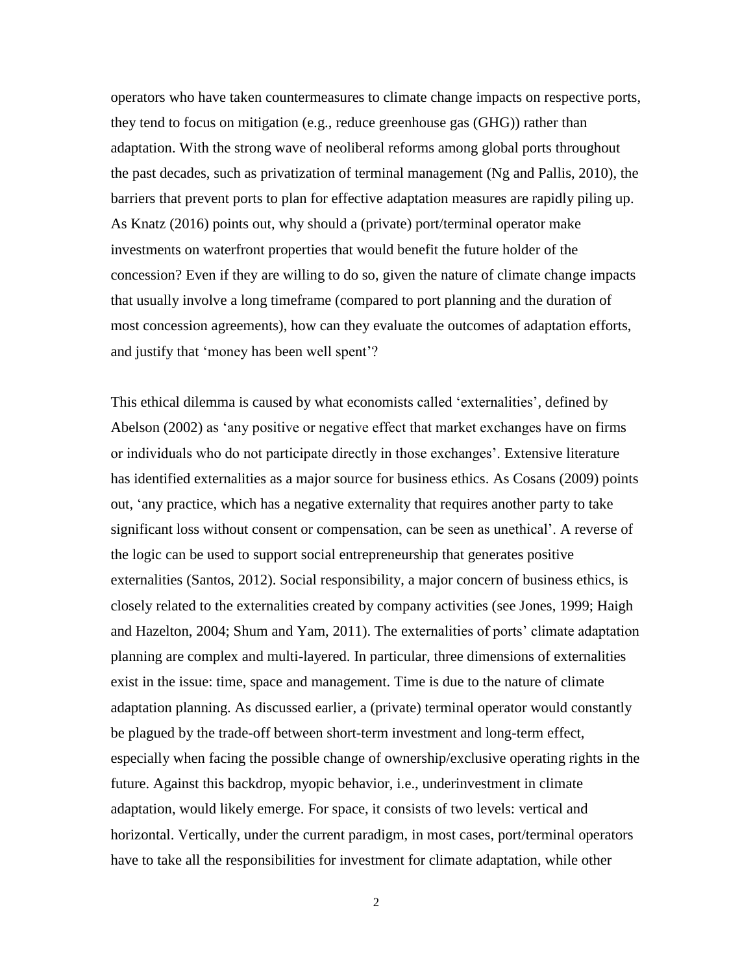operators who have taken countermeasures to climate change impacts on respective ports, they tend to focus on mitigation (e.g., reduce greenhouse gas (GHG)) rather than adaptation. With the strong wave of neoliberal reforms among global ports throughout the past decades, such as privatization of terminal management (Ng and Pallis, 2010), the barriers that prevent ports to plan for effective adaptation measures are rapidly piling up. As Knatz (2016) points out, why should a (private) port/terminal operator make investments on waterfront properties that would benefit the future holder of the concession? Even if they are willing to do so, given the nature of climate change impacts that usually involve a long timeframe (compared to port planning and the duration of most concession agreements), how can they evaluate the outcomes of adaptation efforts, and justify that 'money has been well spent'?

This ethical dilemma is caused by what economists called 'externalities', defined by Abelson (2002) as 'any positive or negative effect that market exchanges have on firms or individuals who do not participate directly in those exchanges'. Extensive literature has identified externalities as a major source for business ethics. As Cosans (2009) points out, 'any practice, which has a negative externality that requires another party to take significant loss without consent or compensation, can be seen as unethical'. A reverse of the logic can be used to support social entrepreneurship that generates positive externalities (Santos, 2012). Social responsibility, a major concern of business ethics, is closely related to the externalities created by company activities (see Jones, 1999; Haigh and Hazelton, 2004; Shum and Yam, 2011). The externalities of ports' climate adaptation planning are complex and multi-layered. In particular, three dimensions of externalities exist in the issue: time, space and management. Time is due to the nature of climate adaptation planning. As discussed earlier, a (private) terminal operator would constantly be plagued by the trade-off between short-term investment and long-term effect, especially when facing the possible change of ownership/exclusive operating rights in the future. Against this backdrop, myopic behavior, i.e., underinvestment in climate adaptation, would likely emerge. For space, it consists of two levels: vertical and horizontal. Vertically, under the current paradigm, in most cases, port/terminal operators have to take all the responsibilities for investment for climate adaptation, while other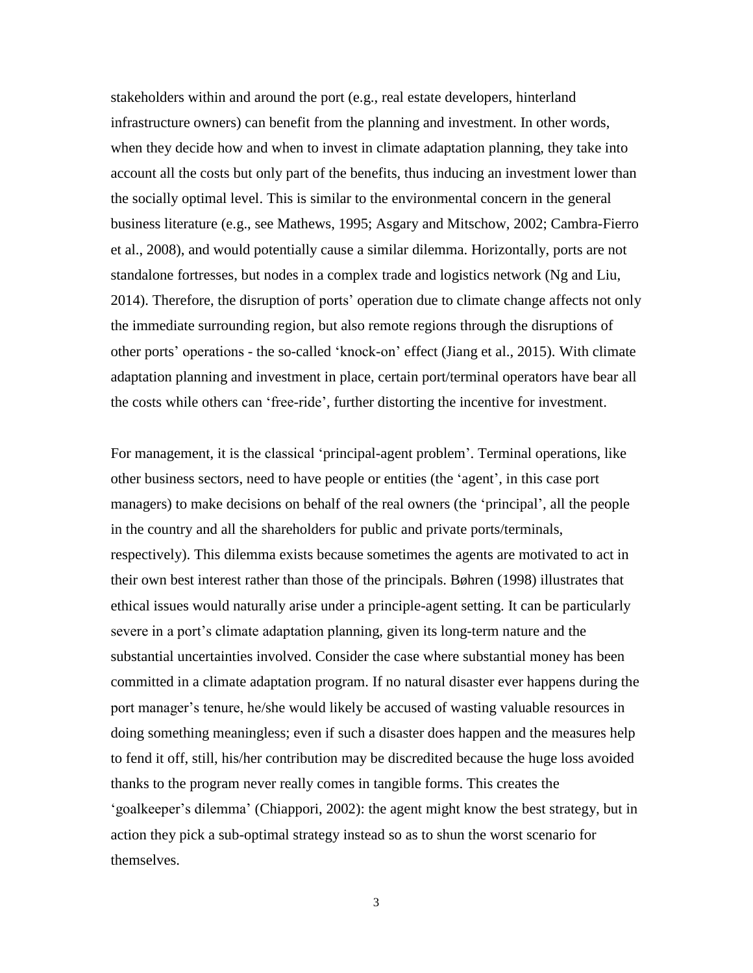stakeholders within and around the port (e.g., real estate developers, hinterland infrastructure owners) can benefit from the planning and investment. In other words, when they decide how and when to invest in climate adaptation planning, they take into account all the costs but only part of the benefits, thus inducing an investment lower than the socially optimal level. This is similar to the environmental concern in the general business literature (e.g., see Mathews, 1995; Asgary and Mitschow, 2002; Cambra-Fierro et al., 2008), and would potentially cause a similar dilemma. Horizontally, ports are not standalone fortresses, but nodes in a complex trade and logistics network (Ng and Liu, 2014). Therefore, the disruption of ports' operation due to climate change affects not only the immediate surrounding region, but also remote regions through the disruptions of other ports' operations - the so-called 'knock-on' effect (Jiang et al., 2015). With climate adaptation planning and investment in place, certain port/terminal operators have bear all the costs while others can 'free-ride', further distorting the incentive for investment.

For management, it is the classical 'principal-agent problem'. Terminal operations, like other business sectors, need to have people or entities (the 'agent', in this case port managers) to make decisions on behalf of the real owners (the 'principal', all the people in the country and all the shareholders for public and private ports/terminals, respectively). This dilemma exists because sometimes the agents are motivated to act in their own best interest rather than those of the principals. Bøhren (1998) illustrates that ethical issues would naturally arise under a principle-agent setting. It can be particularly severe in a port's climate adaptation planning, given its long-term nature and the substantial uncertainties involved. Consider the case where substantial money has been committed in a climate adaptation program. If no natural disaster ever happens during the port manager's tenure, he/she would likely be accused of wasting valuable resources in doing something meaningless; even if such a disaster does happen and the measures help to fend it off, still, his/her contribution may be discredited because the huge loss avoided thanks to the program never really comes in tangible forms. This creates the 'goalkeeper's dilemma' (Chiappori, 2002): the agent might know the best strategy, but in action they pick a sub-optimal strategy instead so as to shun the worst scenario for themselves.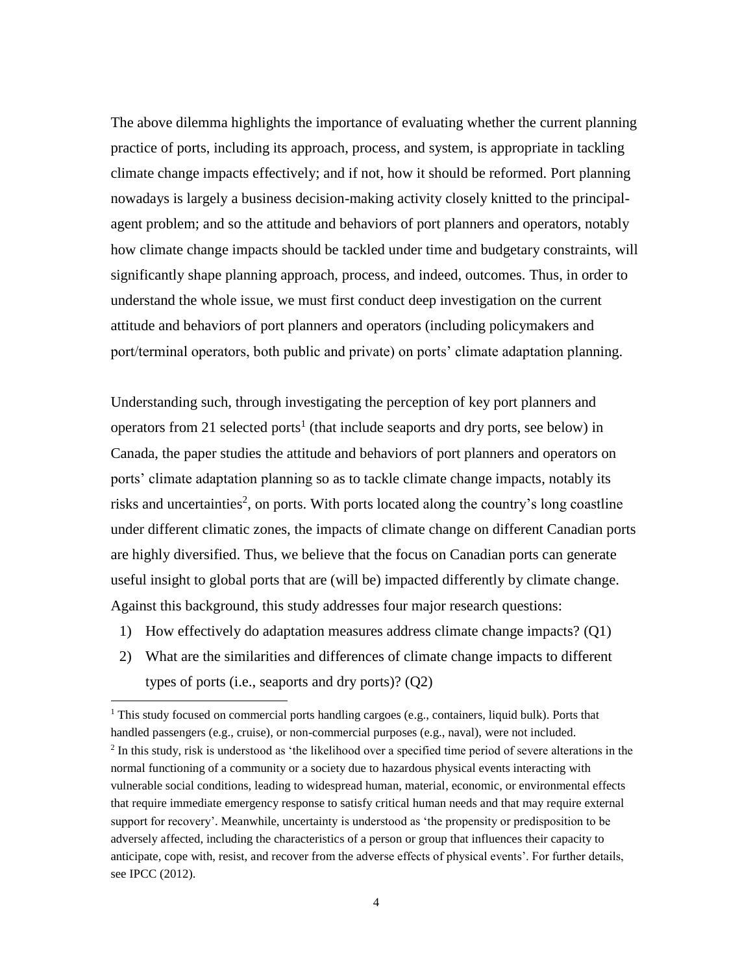The above dilemma highlights the importance of evaluating whether the current planning practice of ports, including its approach, process, and system, is appropriate in tackling climate change impacts effectively; and if not, how it should be reformed. Port planning nowadays is largely a business decision-making activity closely knitted to the principalagent problem; and so the attitude and behaviors of port planners and operators, notably how climate change impacts should be tackled under time and budgetary constraints, will significantly shape planning approach, process, and indeed, outcomes. Thus, in order to understand the whole issue, we must first conduct deep investigation on the current attitude and behaviors of port planners and operators (including policymakers and port/terminal operators, both public and private) on ports' climate adaptation planning.

Understanding such, through investigating the perception of key port planners and operators from 21 selected ports<sup>1</sup> (that include seaports and dry ports, see below) in Canada, the paper studies the attitude and behaviors of port planners and operators on ports' climate adaptation planning so as to tackle climate change impacts, notably its risks and uncertainties<sup>2</sup>, on ports. With ports located along the country's long coastline under different climatic zones, the impacts of climate change on different Canadian ports are highly diversified. Thus, we believe that the focus on Canadian ports can generate useful insight to global ports that are (will be) impacted differently by climate change. Against this background, this study addresses four major research questions:

- 1) How effectively do adaptation measures address climate change impacts? (Q1)
- 2) What are the similarities and differences of climate change impacts to different types of ports (i.e., seaports and dry ports)? (Q2)

 $\overline{a}$ 

<sup>&</sup>lt;sup>1</sup> This study focused on commercial ports handling cargoes (e.g., containers, liquid bulk). Ports that handled passengers (e.g., cruise), or non-commercial purposes (e.g., naval), were not included.  $<sup>2</sup>$  In this study, risk is understood as 'the likelihood over a specified time period of severe alterations in the</sup> normal functioning of a community or a society due to hazardous physical events interacting with vulnerable social conditions, leading to widespread human, material, economic, or environmental effects that require immediate emergency response to satisfy critical human needs and that may require external support for recovery'. Meanwhile, uncertainty is understood as 'the propensity or predisposition to be adversely affected, including the characteristics of a person or group that influences their capacity to anticipate, cope with, resist, and recover from the adverse effects of physical events'. For further details, see IPCC (2012).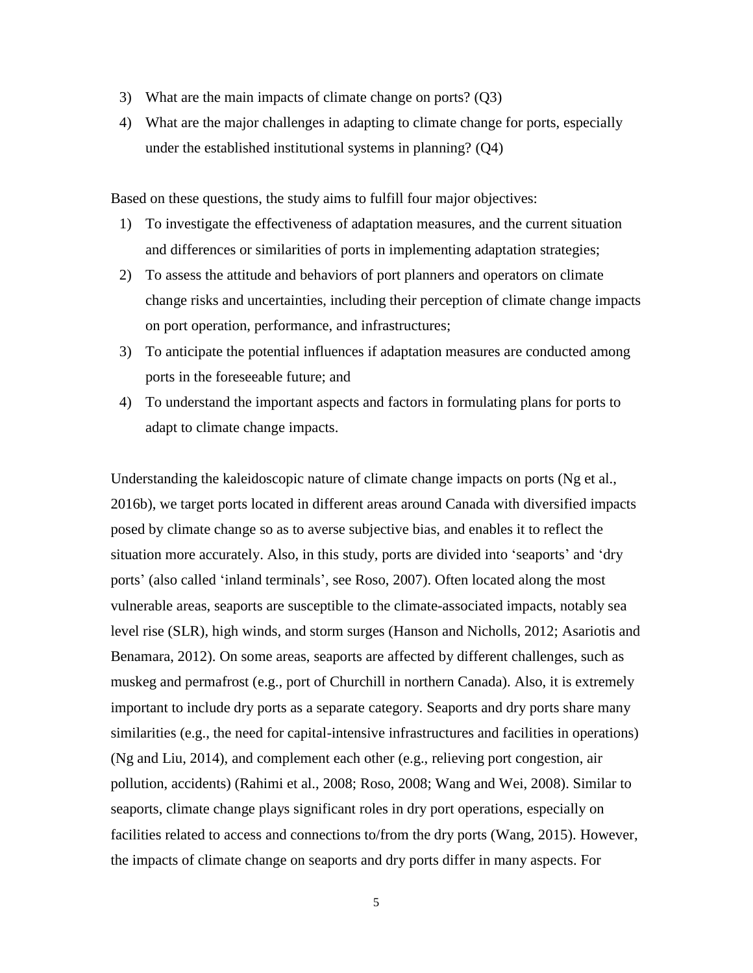- 3) What are the main impacts of climate change on ports? (Q3)
- 4) What are the major challenges in adapting to climate change for ports, especially under the established institutional systems in planning? (Q4)

Based on these questions, the study aims to fulfill four major objectives:

- 1) To investigate the effectiveness of adaptation measures, and the current situation and differences or similarities of ports in implementing adaptation strategies;
- 2) To assess the attitude and behaviors of port planners and operators on climate change risks and uncertainties, including their perception of climate change impacts on port operation, performance, and infrastructures;
- 3) To anticipate the potential influences if adaptation measures are conducted among ports in the foreseeable future; and
- 4) To understand the important aspects and factors in formulating plans for ports to adapt to climate change impacts.

Understanding the kaleidoscopic nature of climate change impacts on ports (Ng et al., 2016b), we target ports located in different areas around Canada with diversified impacts posed by climate change so as to averse subjective bias, and enables it to reflect the situation more accurately. Also, in this study, ports are divided into 'seaports' and 'dry ports' (also called 'inland terminals', see Roso, 2007). Often located along the most vulnerable areas, seaports are susceptible to the climate-associated impacts, notably sea level rise (SLR), high winds, and storm surges (Hanson and Nicholls, 2012; Asariotis and Benamara, 2012). On some areas, seaports are affected by different challenges, such as muskeg and permafrost (e.g., port of Churchill in northern Canada). Also, it is extremely important to include dry ports as a separate category. Seaports and dry ports share many similarities (e.g., the need for capital-intensive infrastructures and facilities in operations) (Ng and Liu, 2014), and complement each other (e.g., relieving port congestion, air pollution, accidents) (Rahimi et al., 2008; Roso, 2008; Wang and Wei, 2008). Similar to seaports, climate change plays significant roles in dry port operations, especially on facilities related to access and connections to/from the dry ports (Wang, 2015). However, the impacts of climate change on seaports and dry ports differ in many aspects. For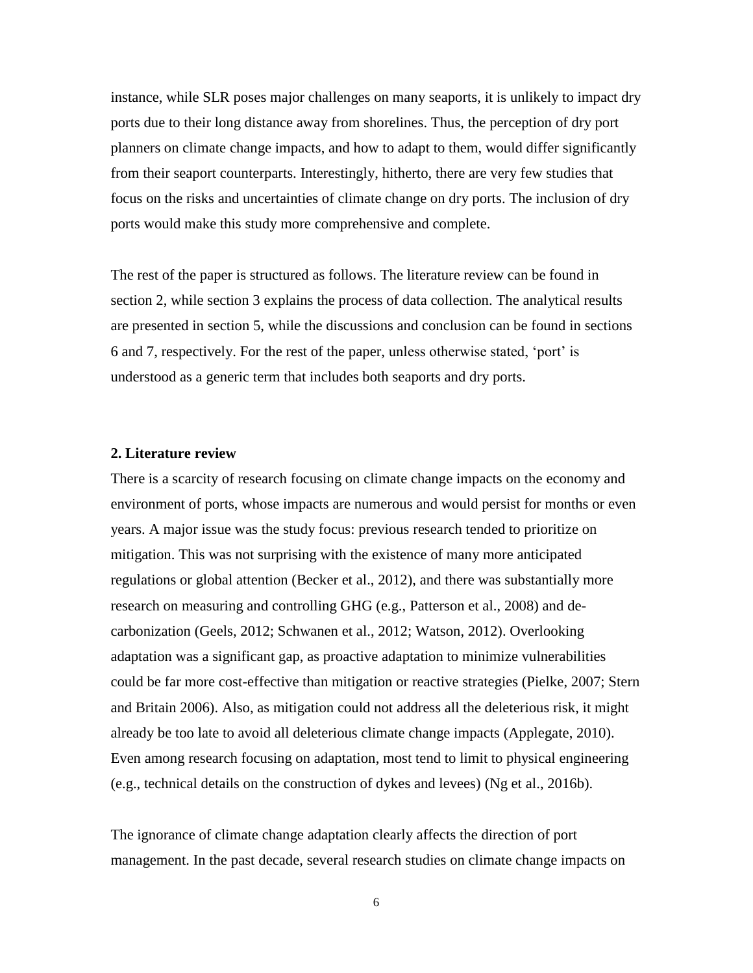instance, while SLR poses major challenges on many seaports, it is unlikely to impact dry ports due to their long distance away from shorelines. Thus, the perception of dry port planners on climate change impacts, and how to adapt to them, would differ significantly from their seaport counterparts. Interestingly, hitherto, there are very few studies that focus on the risks and uncertainties of climate change on dry ports. The inclusion of dry ports would make this study more comprehensive and complete.

The rest of the paper is structured as follows. The literature review can be found in section 2, while section 3 explains the process of data collection. The analytical results are presented in section 5, while the discussions and conclusion can be found in sections 6 and 7, respectively. For the rest of the paper, unless otherwise stated, 'port' is understood as a generic term that includes both seaports and dry ports.

#### **2. Literature review**

There is a scarcity of research focusing on climate change impacts on the economy and environment of ports, whose impacts are numerous and would persist for months or even years. A major issue was the study focus: previous research tended to prioritize on mitigation. This was not surprising with the existence of many more anticipated regulations or global attention (Becker et al., 2012), and there was substantially more research on measuring and controlling GHG (e.g., Patterson et al., 2008) and decarbonization (Geels, 2012; Schwanen et al., 2012; Watson, 2012). Overlooking adaptation was a significant gap, as proactive adaptation to minimize vulnerabilities could be far more cost-effective than mitigation or reactive strategies (Pielke, 2007; Stern and Britain 2006). Also, as mitigation could not address all the deleterious risk, it might already be too late to avoid all deleterious climate change impacts (Applegate, 2010). Even among research focusing on adaptation, most tend to limit to physical engineering (e.g., technical details on the construction of dykes and levees) (Ng et al., 2016b).

The ignorance of climate change adaptation clearly affects the direction of port management. In the past decade, several research studies on climate change impacts on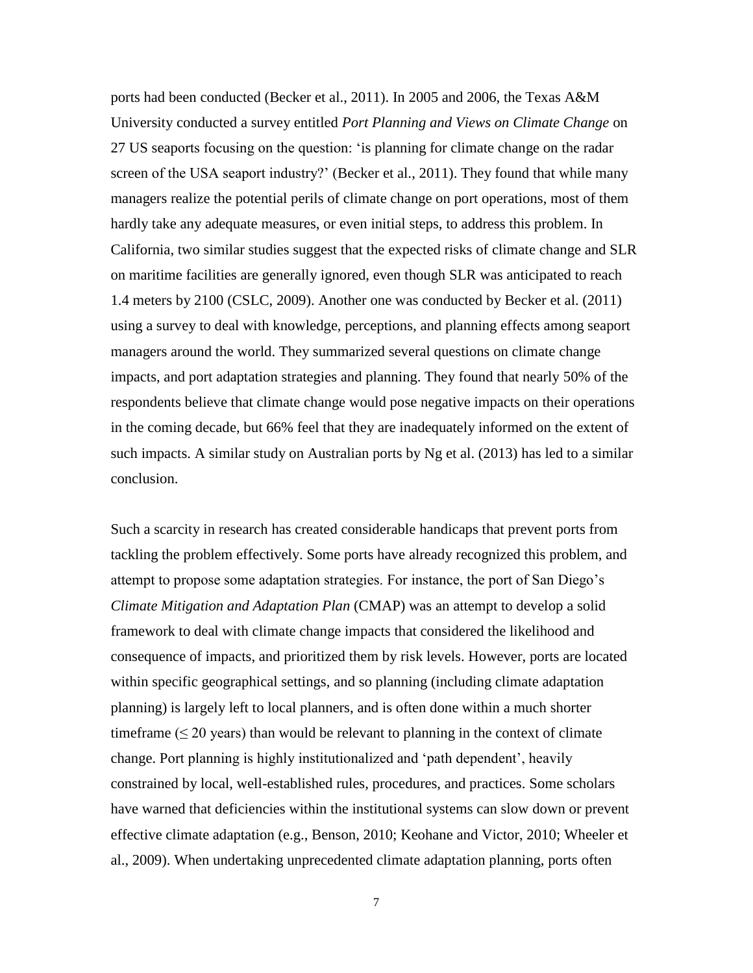ports had been conducted (Becker et al., 2011). In 2005 and 2006, the Texas A&M University conducted a survey entitled *Port Planning and Views on Climate Change* on 27 US seaports focusing on the question: 'is planning for climate change on the radar screen of the USA seaport industry?' (Becker et al., 2011). They found that while many managers realize the potential perils of climate change on port operations, most of them hardly take any adequate measures, or even initial steps, to address this problem. In California, two similar studies suggest that the expected risks of climate change and SLR on maritime facilities are generally ignored, even though SLR was anticipated to reach 1.4 meters by 2100 (CSLC, 2009). Another one was conducted by Becker et al. (2011) using a survey to deal with knowledge, perceptions, and planning effects among seaport managers around the world. They summarized several questions on climate change impacts, and port adaptation strategies and planning. They found that nearly 50% of the respondents believe that climate change would pose negative impacts on their operations in the coming decade, but 66% feel that they are inadequately informed on the extent of such impacts. A similar study on Australian ports by Ng et al. (2013) has led to a similar conclusion.

Such a scarcity in research has created considerable handicaps that prevent ports from tackling the problem effectively. Some ports have already recognized this problem, and attempt to propose some adaptation strategies. For instance, the port of San Diego's *Climate Mitigation and Adaptation Plan* (CMAP) was an attempt to develop a solid framework to deal with climate change impacts that considered the likelihood and consequence of impacts, and prioritized them by risk levels. However, ports are located within specific geographical settings, and so planning (including climate adaptation planning) is largely left to local planners, and is often done within a much shorter timeframe  $(\leq 20 \text{ years})$  than would be relevant to planning in the context of climate change. Port planning is highly institutionalized and 'path dependent', heavily constrained by local, well-established rules, procedures, and practices. Some scholars have warned that deficiencies within the institutional systems can slow down or prevent effective climate adaptation (e.g., Benson, 2010; Keohane and Victor, 2010; Wheeler et al., 2009). When undertaking unprecedented climate adaptation planning, ports often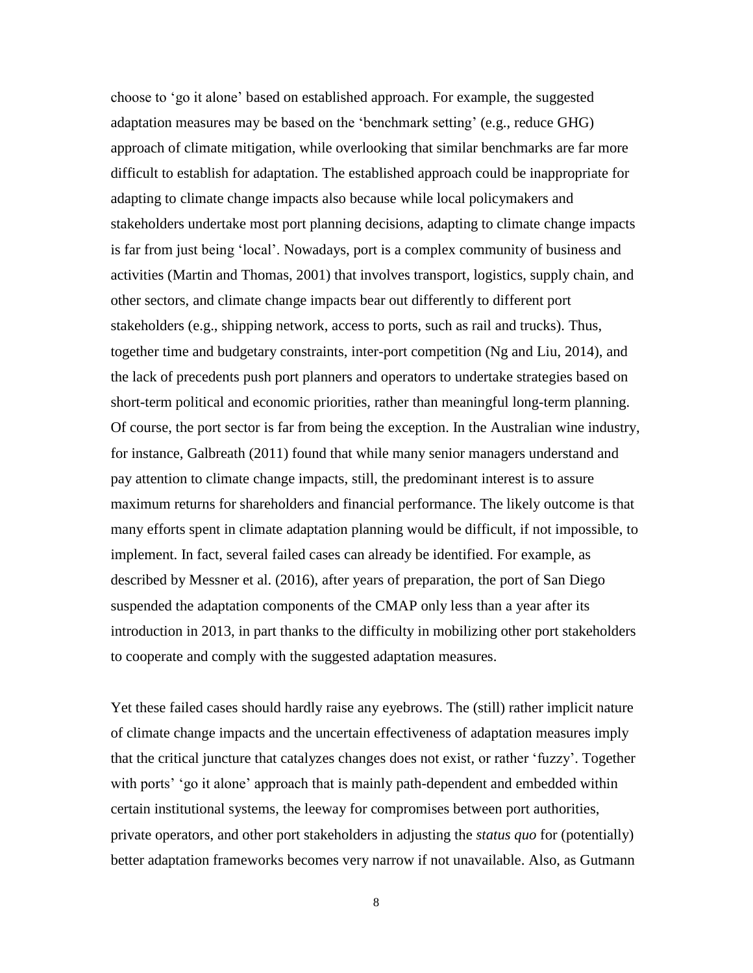choose to 'go it alone' based on established approach. For example, the suggested adaptation measures may be based on the 'benchmark setting' (e.g., reduce GHG) approach of climate mitigation, while overlooking that similar benchmarks are far more difficult to establish for adaptation. The established approach could be inappropriate for adapting to climate change impacts also because while local policymakers and stakeholders undertake most port planning decisions, adapting to climate change impacts is far from just being 'local'. Nowadays, port is a complex community of business and activities (Martin and Thomas, 2001) that involves transport, logistics, supply chain, and other sectors, and climate change impacts bear out differently to different port stakeholders (e.g., shipping network, access to ports, such as rail and trucks). Thus, together time and budgetary constraints, inter-port competition (Ng and Liu, 2014), and the lack of precedents push port planners and operators to undertake strategies based on short-term political and economic priorities, rather than meaningful long-term planning. Of course, the port sector is far from being the exception. In the Australian wine industry, for instance, Galbreath (2011) found that while many senior managers understand and pay attention to climate change impacts, still, the predominant interest is to assure maximum returns for shareholders and financial performance. The likely outcome is that many efforts spent in climate adaptation planning would be difficult, if not impossible, to implement. In fact, several failed cases can already be identified. For example, as described by Messner et al. (2016), after years of preparation, the port of San Diego suspended the adaptation components of the CMAP only less than a year after its introduction in 2013, in part thanks to the difficulty in mobilizing other port stakeholders to cooperate and comply with the suggested adaptation measures.

Yet these failed cases should hardly raise any eyebrows. The (still) rather implicit nature of climate change impacts and the uncertain effectiveness of adaptation measures imply that the critical juncture that catalyzes changes does not exist, or rather 'fuzzy'. Together with ports' 'go it alone' approach that is mainly path-dependent and embedded within certain institutional systems, the leeway for compromises between port authorities, private operators, and other port stakeholders in adjusting the *status quo* for (potentially) better adaptation frameworks becomes very narrow if not unavailable. Also, as Gutmann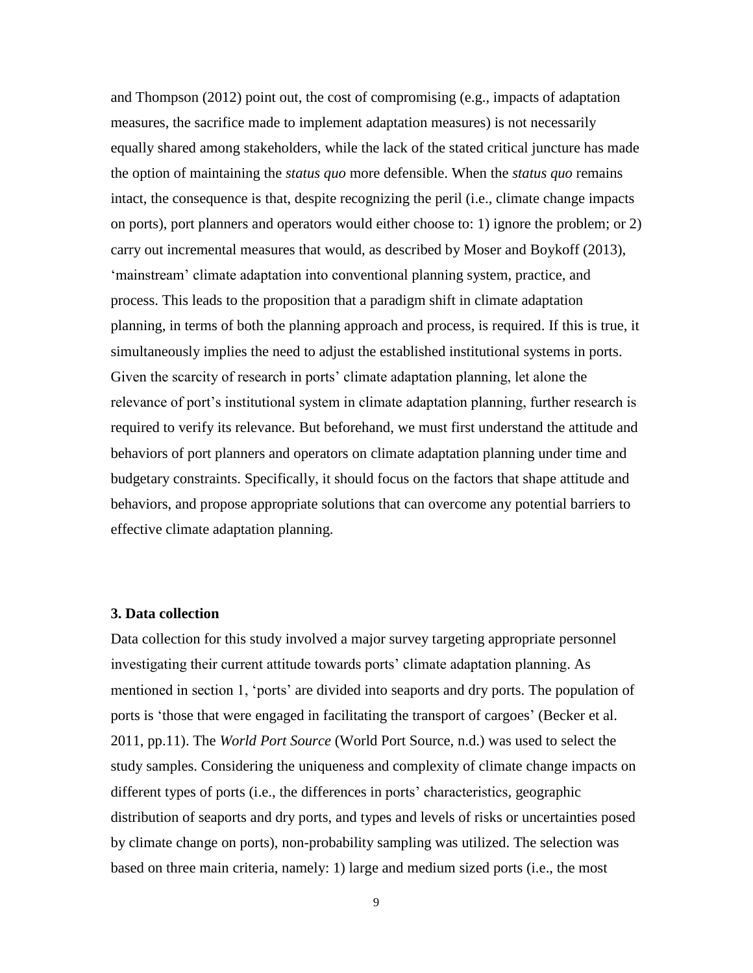and Thompson (2012) point out, the cost of compromising (e.g., impacts of adaptation measures, the sacrifice made to implement adaptation measures) is not necessarily equally shared among stakeholders, while the lack of the stated critical juncture has made the option of maintaining the *status quo* more defensible. When the *status quo* remains intact, the consequence is that, despite recognizing the peril (i.e., climate change impacts on ports), port planners and operators would either choose to: 1) ignore the problem; or 2) carry out incremental measures that would, as described by Moser and Boykoff (2013), 'mainstream' climate adaptation into conventional planning system, practice, and process. This leads to the proposition that a paradigm shift in climate adaptation planning, in terms of both the planning approach and process, is required. If this is true, it simultaneously implies the need to adjust the established institutional systems in ports. Given the scarcity of research in ports' climate adaptation planning, let alone the relevance of port's institutional system in climate adaptation planning, further research is required to verify its relevance. But beforehand, we must first understand the attitude and behaviors of port planners and operators on climate adaptation planning under time and budgetary constraints. Specifically, it should focus on the factors that shape attitude and behaviors, and propose appropriate solutions that can overcome any potential barriers to effective climate adaptation planning.

## **3. Data collection**

Data collection for this study involved a major survey targeting appropriate personnel investigating their current attitude towards ports' climate adaptation planning. As mentioned in section 1, 'ports' are divided into seaports and dry ports. The population of ports is 'those that were engaged in facilitating the transport of cargoes' (Becker et al. 2011, pp.11). The *World Port Source* (World Port Source, n.d.) was used to select the study samples. Considering the uniqueness and complexity of climate change impacts on different types of ports (i.e., the differences in ports' characteristics, geographic distribution of seaports and dry ports, and types and levels of risks or uncertainties posed by climate change on ports), non-probability sampling was utilized. The selection was based on three main criteria, namely: 1) large and medium sized ports (i.e., the most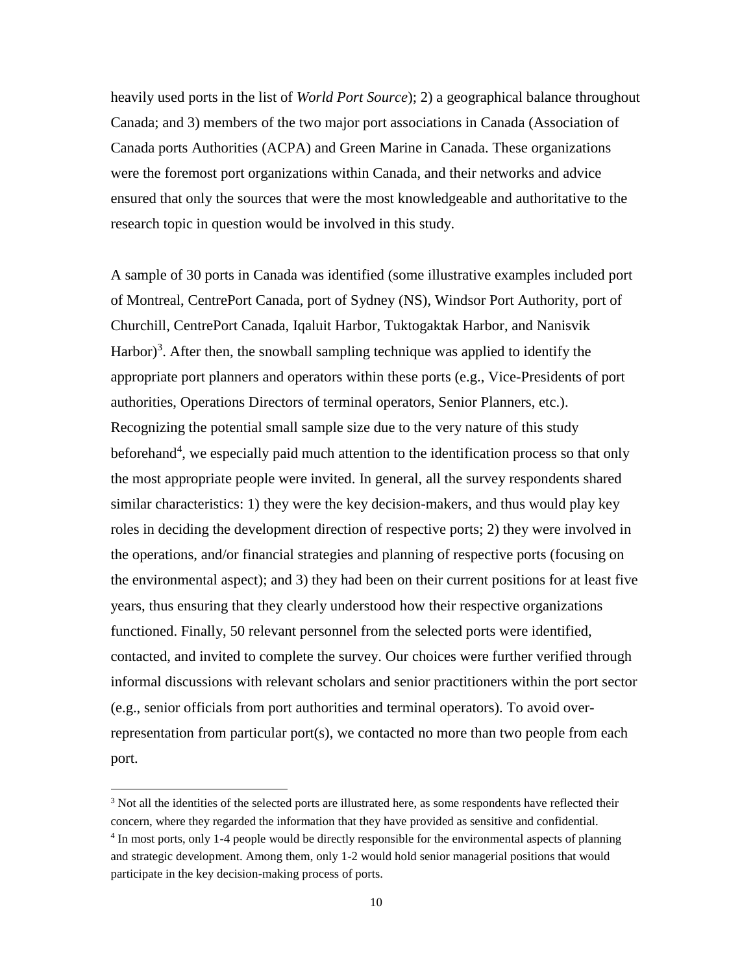heavily used ports in the list of *World Port Source*); 2) a geographical balance throughout Canada; and 3) members of the two major port associations in Canada (Association of Canada ports Authorities (ACPA) and Green Marine in Canada. These organizations were the foremost port organizations within Canada, and their networks and advice ensured that only the sources that were the most knowledgeable and authoritative to the research topic in question would be involved in this study.

A sample of 30 ports in Canada was identified (some illustrative examples included port of Montreal, CentrePort Canada, port of Sydney (NS), Windsor Port Authority, port of Churchill, CentrePort Canada, Iqaluit Harbor, Tuktogaktak Harbor, and Nanisvik Harbor)<sup>3</sup>. After then, the snowball sampling technique was applied to identify the appropriate port planners and operators within these ports (e.g., Vice-Presidents of port authorities, Operations Directors of terminal operators, Senior Planners, etc.). Recognizing the potential small sample size due to the very nature of this study beforehand<sup>4</sup>, we especially paid much attention to the identification process so that only the most appropriate people were invited. In general, all the survey respondents shared similar characteristics: 1) they were the key decision-makers, and thus would play key roles in deciding the development direction of respective ports; 2) they were involved in the operations, and/or financial strategies and planning of respective ports (focusing on the environmental aspect); and 3) they had been on their current positions for at least five years, thus ensuring that they clearly understood how their respective organizations functioned. Finally, 50 relevant personnel from the selected ports were identified, contacted, and invited to complete the survey. Our choices were further verified through informal discussions with relevant scholars and senior practitioners within the port sector (e.g., senior officials from port authorities and terminal operators). To avoid overrepresentation from particular port(s), we contacted no more than two people from each port.

 $\overline{a}$ 

 $3$  Not all the identities of the selected ports are illustrated here, as some respondents have reflected their concern, where they regarded the information that they have provided as sensitive and confidential.

<sup>4</sup> In most ports, only 1-4 people would be directly responsible for the environmental aspects of planning and strategic development. Among them, only 1-2 would hold senior managerial positions that would participate in the key decision-making process of ports.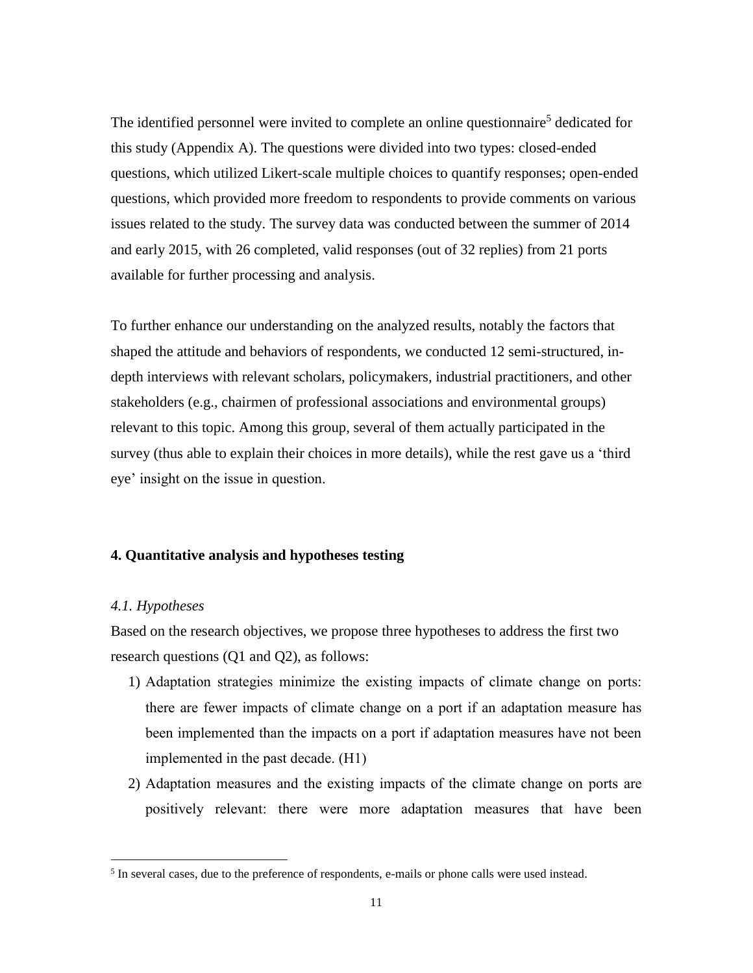The identified personnel were invited to complete an online questionnaire<sup>5</sup> dedicated for this study (Appendix A). The questions were divided into two types: closed-ended questions, which utilized Likert-scale multiple choices to quantify responses; open-ended questions, which provided more freedom to respondents to provide comments on various issues related to the study. The survey data was conducted between the summer of 2014 and early 2015, with 26 completed, valid responses (out of 32 replies) from 21 ports available for further processing and analysis.

To further enhance our understanding on the analyzed results, notably the factors that shaped the attitude and behaviors of respondents, we conducted 12 semi-structured, indepth interviews with relevant scholars, policymakers, industrial practitioners, and other stakeholders (e.g., chairmen of professional associations and environmental groups) relevant to this topic. Among this group, several of them actually participated in the survey (thus able to explain their choices in more details), while the rest gave us a 'third eye' insight on the issue in question.

# **4. Quantitative analysis and hypotheses testing**

### *4.1. Hypotheses*

 $\overline{a}$ 

Based on the research objectives, we propose three hypotheses to address the first two research questions (Q1 and Q2), as follows:

- 1) Adaptation strategies minimize the existing impacts of climate change on ports: there are fewer impacts of climate change on a port if an adaptation measure has been implemented than the impacts on a port if adaptation measures have not been implemented in the past decade. (H1)
- 2) Adaptation measures and the existing impacts of the climate change on ports are positively relevant: there were more adaptation measures that have been

<sup>&</sup>lt;sup>5</sup> In several cases, due to the preference of respondents, e-mails or phone calls were used instead.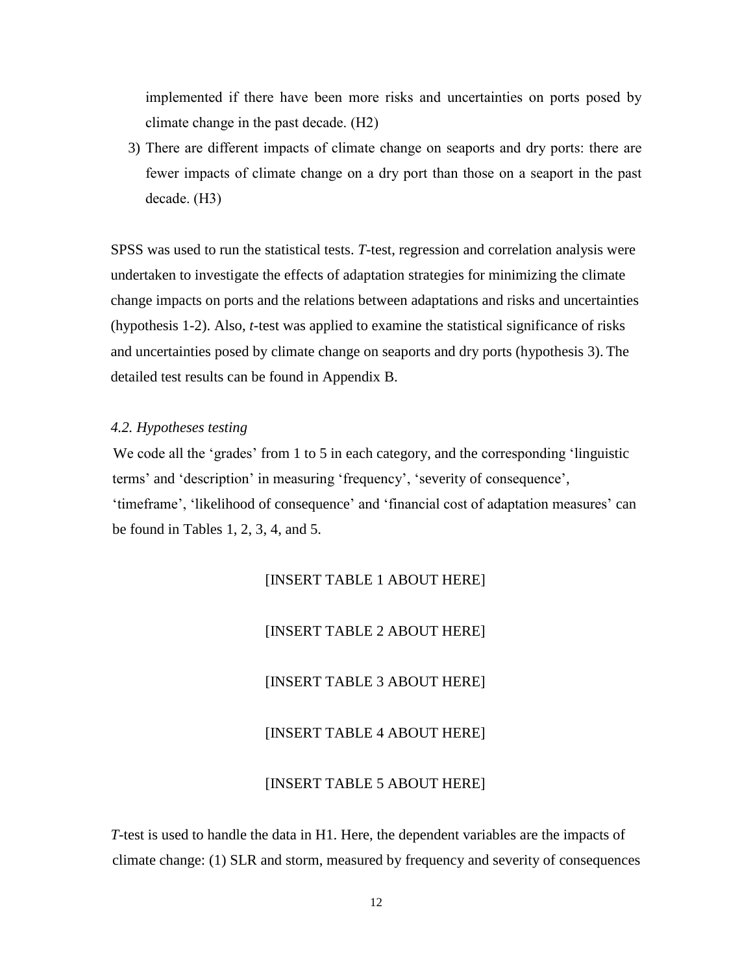implemented if there have been more risks and uncertainties on ports posed by climate change in the past decade. (H2)

3) There are different impacts of climate change on seaports and dry ports: there are fewer impacts of climate change on a dry port than those on a seaport in the past decade. (H3)

SPSS was used to run the statistical tests. *T*-test, regression and correlation analysis were undertaken to investigate the effects of adaptation strategies for minimizing the climate change impacts on ports and the relations between adaptations and risks and uncertainties (hypothesis 1-2). Also, *t*-test was applied to examine the statistical significance of risks and uncertainties posed by climate change on seaports and dry ports (hypothesis 3). The detailed test results can be found in Appendix B.

# *4.2. Hypotheses testing*

We code all the 'grades' from 1 to 5 in each category, and the corresponding 'linguistic terms' and 'description' in measuring 'frequency', 'severity of consequence', 'timeframe', 'likelihood of consequence' and 'financial cost of adaptation measures' can be found in Tables 1, 2, 3, 4, and 5.

## [INSERT TABLE 1 ABOUT HERE]

# [INSERT TABLE 2 ABOUT HERE]

[INSERT TABLE 3 ABOUT HERE]

## [INSERT TABLE 4 ABOUT HERE]

## [INSERT TABLE 5 ABOUT HERE]

*T*-test is used to handle the data in H1. Here, the dependent variables are the impacts of climate change: (1) SLR and storm, measured by frequency and severity of consequences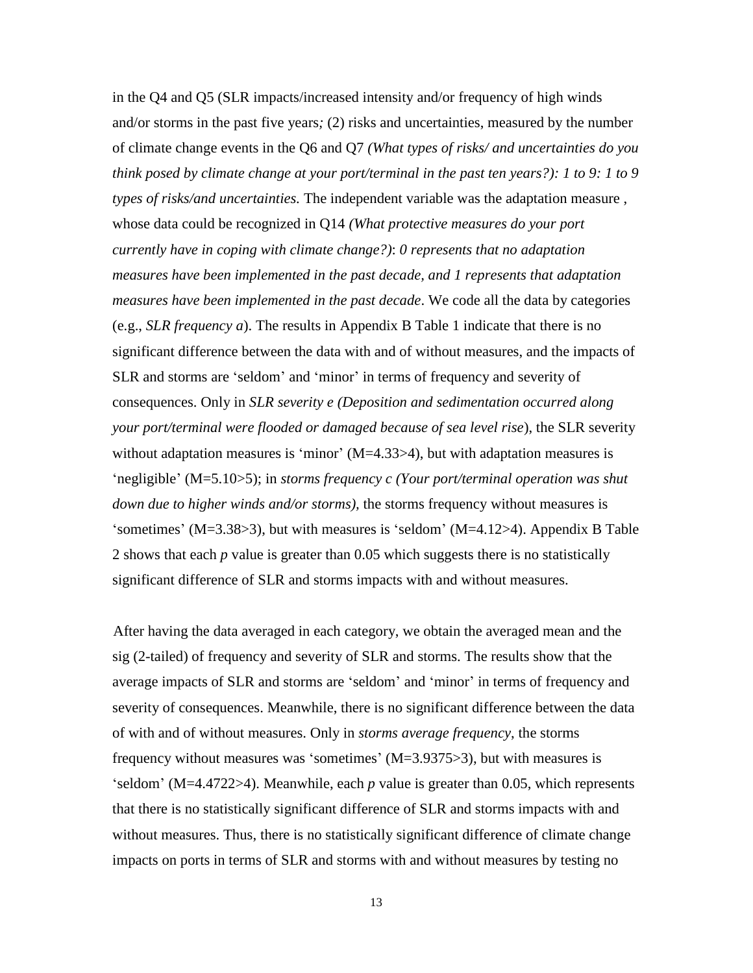in the Q4 and Q5 (SLR impacts/increased intensity and/or frequency of high winds and/or storms in the past five years*;* (2) risks and uncertainties, measured by the number of climate change events in the Q6 and Q7 *(What types of risks/ and uncertainties do you think posed by climate change at your port/terminal in the past ten years?): 1 to 9: 1 to 9 types of risks/and uncertainties.* The independent variable was the adaptation measure , whose data could be recognized in Q14 *(What protective measures do your port currently have in coping with climate change?)*: *0 represents that no adaptation measures have been implemented in the past decade, and 1 represents that adaptation measures have been implemented in the past decade*. We code all the data by categories (e.g., *SLR frequency a*). The results in Appendix B Table 1 indicate that there is no significant difference between the data with and of without measures, and the impacts of SLR and storms are 'seldom' and 'minor' in terms of frequency and severity of consequences. Only in *SLR severity e (Deposition and sedimentation occurred along your port/terminal were flooded or damaged because of sea level rise*), the SLR severity without adaptation measures is 'minor'  $(M=4.33)$  but with adaptation measures is 'negligible' (M=5.10>5); in *storms frequency c (Your port/terminal operation was shut down due to higher winds and/or storms),* the storms frequency without measures is 'sometimes' (M=3.38>3), but with measures is 'seldom' (M=4.12>4). Appendix B Table 2 shows that each *p* value is greater than 0.05 which suggests there is no statistically significant difference of SLR and storms impacts with and without measures.

 After having the data averaged in each category, we obtain the averaged mean and the sig (2-tailed) of frequency and severity of SLR and storms. The results show that the average impacts of SLR and storms are 'seldom' and 'minor' in terms of frequency and severity of consequences. Meanwhile, there is no significant difference between the data of with and of without measures. Only in *storms average frequency*, the storms frequency without measures was 'sometimes' (M=3.9375>3), but with measures is 'seldom' (M=4.4722>4). Meanwhile, each *p* value is greater than 0.05, which represents that there is no statistically significant difference of SLR and storms impacts with and without measures. Thus, there is no statistically significant difference of climate change impacts on ports in terms of SLR and storms with and without measures by testing no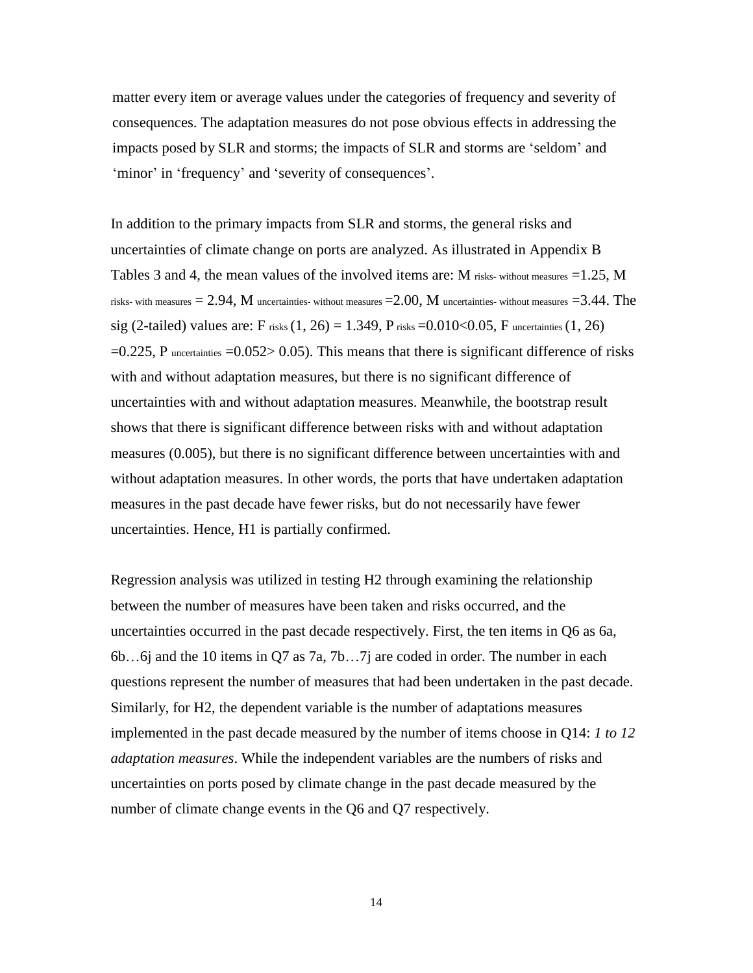matter every item or average values under the categories of frequency and severity of consequences. The adaptation measures do not pose obvious effects in addressing the impacts posed by SLR and storms; the impacts of SLR and storms are 'seldom' and 'minor' in 'frequency' and 'severity of consequences'.

In addition to the primary impacts from SLR and storms, the general risks and uncertainties of climate change on ports are analyzed. As illustrated in Appendix B Tables 3 and 4, the mean values of the involved items are: M risks- without measures  $=1.25$ , M risks- with measures  $= 2.94$ , M uncertainties- without measures  $=$   $2.00$ , M uncertainties- without measures  $=$   $3.44$ . The sig (2-tailed) values are: F risks  $(1, 26) = 1.349$ , P risks  $= 0.010 < 0.05$ , F uncertainties  $(1, 26)$  $=0.225$ , P uncertainties  $=0.052>0.05$ ). This means that there is significant difference of risks with and without adaptation measures, but there is no significant difference of uncertainties with and without adaptation measures. Meanwhile, the bootstrap result shows that there is significant difference between risks with and without adaptation measures (0.005), but there is no significant difference between uncertainties with and without adaptation measures. In other words, the ports that have undertaken adaptation measures in the past decade have fewer risks, but do not necessarily have fewer uncertainties. Hence, H1 is partially confirmed.

Regression analysis was utilized in testing H2 through examining the relationship between the number of measures have been taken and risks occurred, and the uncertainties occurred in the past decade respectively. First, the ten items in Q6 as 6a, 6b…6j and the 10 items in Q7 as 7a, 7b…7j are coded in order. The number in each questions represent the number of measures that had been undertaken in the past decade. Similarly, for H2, the dependent variable is the number of adaptations measures implemented in the past decade measured by the number of items choose in Q14: *1 to 12 adaptation measures*. While the independent variables are the numbers of risks and uncertainties on ports posed by climate change in the past decade measured by the number of climate change events in the Q6 and Q7 respectively.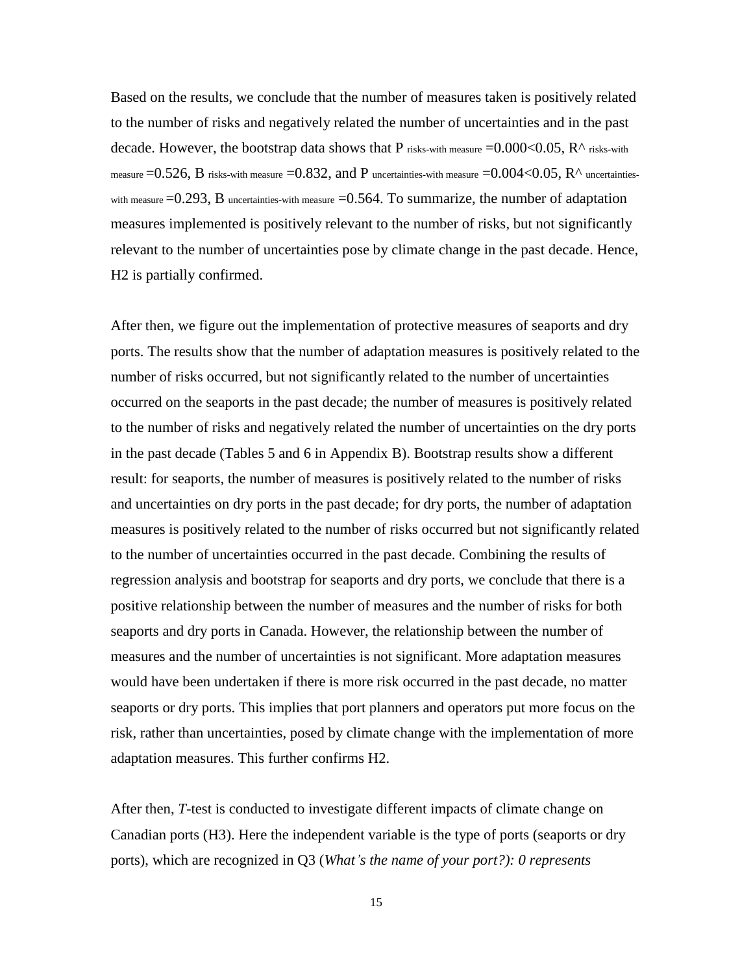Based on the results, we conclude that the number of measures taken is positively related to the number of risks and negatively related the number of uncertainties and in the past decade. However, the bootstrap data shows that P risks-with measure  $=0.000<0.05$ , R<sup>^</sup> risks-with measure  $=$  0.526, B risks-with measure  $=$  0.832, and P uncertainties-with measure  $=$  0.004 < 0.05, R<sup>^</sup> uncertaintieswith measure  $=0.293$ , B uncertainties-with measure  $=0.564$ . To summarize, the number of adaptation measures implemented is positively relevant to the number of risks, but not significantly relevant to the number of uncertainties pose by climate change in the past decade. Hence, H2 is partially confirmed.

After then, we figure out the implementation of protective measures of seaports and dry ports. The results show that the number of adaptation measures is positively related to the number of risks occurred, but not significantly related to the number of uncertainties occurred on the seaports in the past decade; the number of measures is positively related to the number of risks and negatively related the number of uncertainties on the dry ports in the past decade (Tables 5 and 6 in Appendix B). Bootstrap results show a different result: for seaports, the number of measures is positively related to the number of risks and uncertainties on dry ports in the past decade; for dry ports, the number of adaptation measures is positively related to the number of risks occurred but not significantly related to the number of uncertainties occurred in the past decade. Combining the results of regression analysis and bootstrap for seaports and dry ports, we conclude that there is a positive relationship between the number of measures and the number of risks for both seaports and dry ports in Canada. However, the relationship between the number of measures and the number of uncertainties is not significant. More adaptation measures would have been undertaken if there is more risk occurred in the past decade, no matter seaports or dry ports. This implies that port planners and operators put more focus on the risk, rather than uncertainties, posed by climate change with the implementation of more adaptation measures. This further confirms H2.

After then, *T*-test is conducted to investigate different impacts of climate change on Canadian ports (H3). Here the independent variable is the type of ports (seaports or dry ports), which are recognized in Q3 (*What's the name of your port?): 0 represents*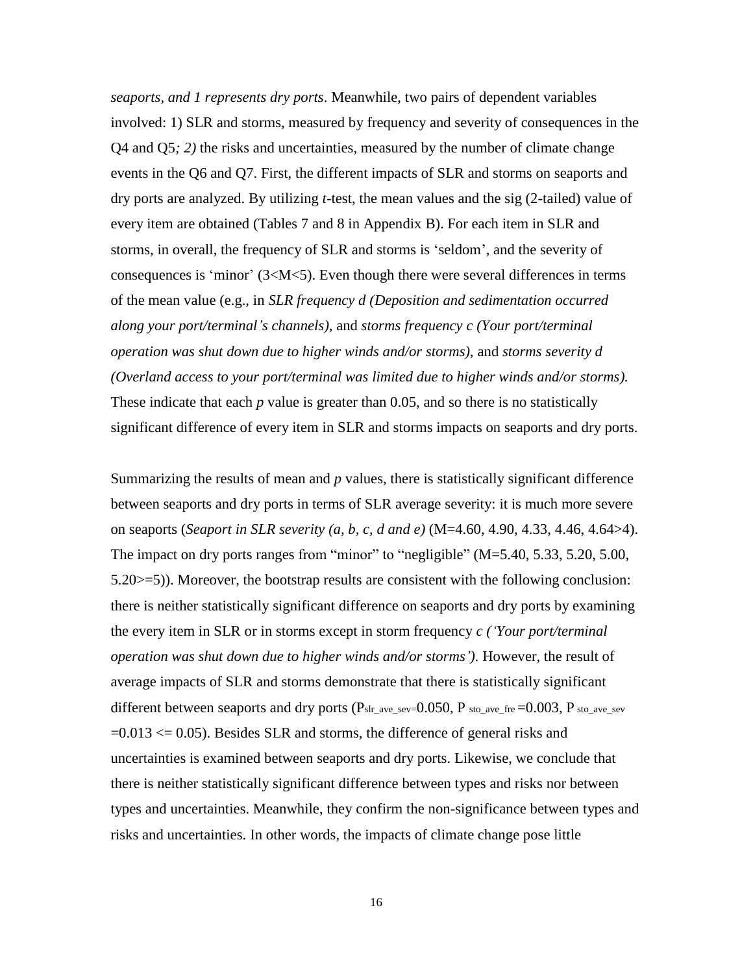*seaports, and 1 represents dry ports*. Meanwhile, two pairs of dependent variables involved: 1) SLR and storms, measured by frequency and severity of consequences in the Q4 and Q5*; 2)* the risks and uncertainties, measured by the number of climate change events in the Q6 and Q7. First, the different impacts of SLR and storms on seaports and dry ports are analyzed. By utilizing *t*-test, the mean values and the sig (2-tailed) value of every item are obtained (Tables 7 and 8 in Appendix B). For each item in SLR and storms, in overall, the frequency of SLR and storms is 'seldom', and the severity of consequences is 'minor'  $(3< M < 5)$ . Even though there were several differences in terms of the mean value (e.g., in *SLR frequency d (Deposition and sedimentation occurred along your port/terminal's channels),* and *storms frequency c (Your port/terminal operation was shut down due to higher winds and/or storms),* and *storms severity d (Overland access to your port/terminal was limited due to higher winds and/or storms).*  These indicate that each *p* value is greater than 0.05, and so there is no statistically significant difference of every item in SLR and storms impacts on seaports and dry ports.

Summarizing the results of mean and *p* values, there is statistically significant difference between seaports and dry ports in terms of SLR average severity: it is much more severe on seaports (*Seaport in SLR severity (a, b, c, d and e)* (M=4.60, 4.90, 4.33, 4.46, 4.64>4). The impact on dry ports ranges from "minor" to "negligible" (M=5.40, 5.33, 5.20, 5.00, 5.20>=5)). Moreover, the bootstrap results are consistent with the following conclusion: there is neither statistically significant difference on seaports and dry ports by examining the every item in SLR or in storms except in storm frequency *c ('Your port/terminal operation was shut down due to higher winds and/or storms')*. However, the result of average impacts of SLR and storms demonstrate that there is statistically significant different between seaports and dry ports ( $P_{str\_ave\_sev=0.050}$ ,  $P_{st_0\_ave\_fre=0.003}$ ,  $P_{st_0\_ave\_sev}$  $=0.013 \le 0.05$ ). Besides SLR and storms, the difference of general risks and uncertainties is examined between seaports and dry ports. Likewise, we conclude that there is neither statistically significant difference between types and risks nor between types and uncertainties. Meanwhile, they confirm the non-significance between types and risks and uncertainties. In other words, the impacts of climate change pose little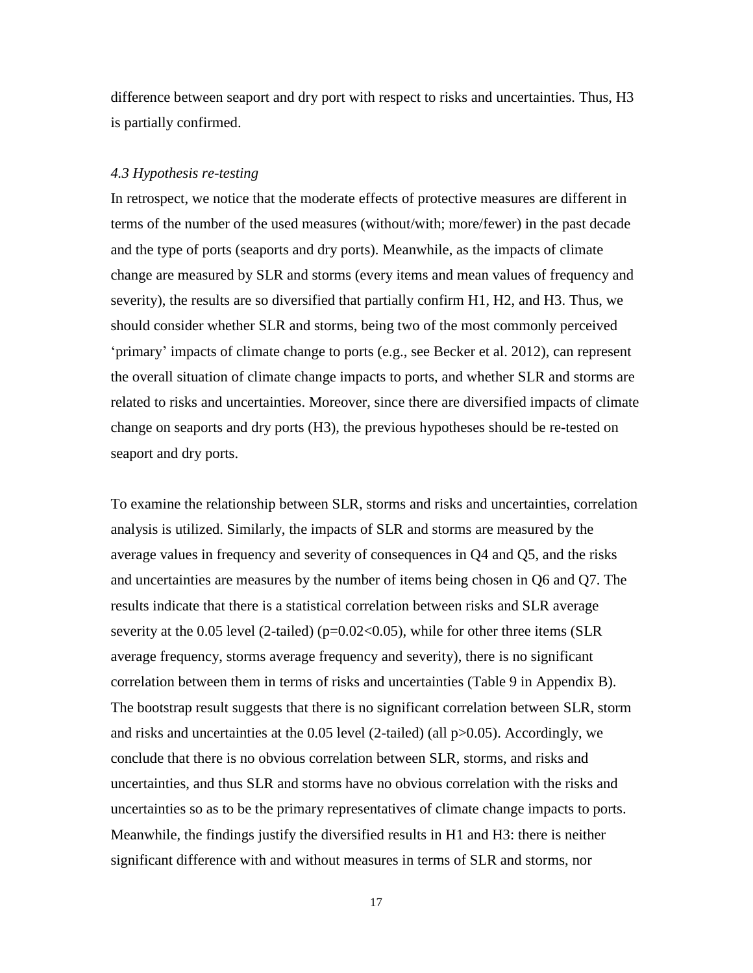difference between seaport and dry port with respect to risks and uncertainties. Thus, H3 is partially confirmed.

#### *4.3 Hypothesis re-testing*

In retrospect, we notice that the moderate effects of protective measures are different in terms of the number of the used measures (without/with; more/fewer) in the past decade and the type of ports (seaports and dry ports). Meanwhile, as the impacts of climate change are measured by SLR and storms (every items and mean values of frequency and severity), the results are so diversified that partially confirm H1, H2, and H3. Thus, we should consider whether SLR and storms, being two of the most commonly perceived 'primary' impacts of climate change to ports (e.g., see Becker et al. 2012), can represent the overall situation of climate change impacts to ports, and whether SLR and storms are related to risks and uncertainties. Moreover, since there are diversified impacts of climate change on seaports and dry ports (H3), the previous hypotheses should be re-tested on seaport and dry ports.

To examine the relationship between SLR, storms and risks and uncertainties, correlation analysis is utilized. Similarly, the impacts of SLR and storms are measured by the average values in frequency and severity of consequences in Q4 and Q5, and the risks and uncertainties are measures by the number of items being chosen in Q6 and Q7. The results indicate that there is a statistical correlation between risks and SLR average severity at the 0.05 level (2-tailed) (p=0.02<0.05), while for other three items (SLR average frequency, storms average frequency and severity), there is no significant correlation between them in terms of risks and uncertainties (Table 9 in Appendix B). The bootstrap result suggests that there is no significant correlation between SLR, storm and risks and uncertainties at the 0.05 level (2-tailed) (all  $p > 0.05$ ). Accordingly, we conclude that there is no obvious correlation between SLR, storms, and risks and uncertainties, and thus SLR and storms have no obvious correlation with the risks and uncertainties so as to be the primary representatives of climate change impacts to ports. Meanwhile, the findings justify the diversified results in H1 and H3: there is neither significant difference with and without measures in terms of SLR and storms, nor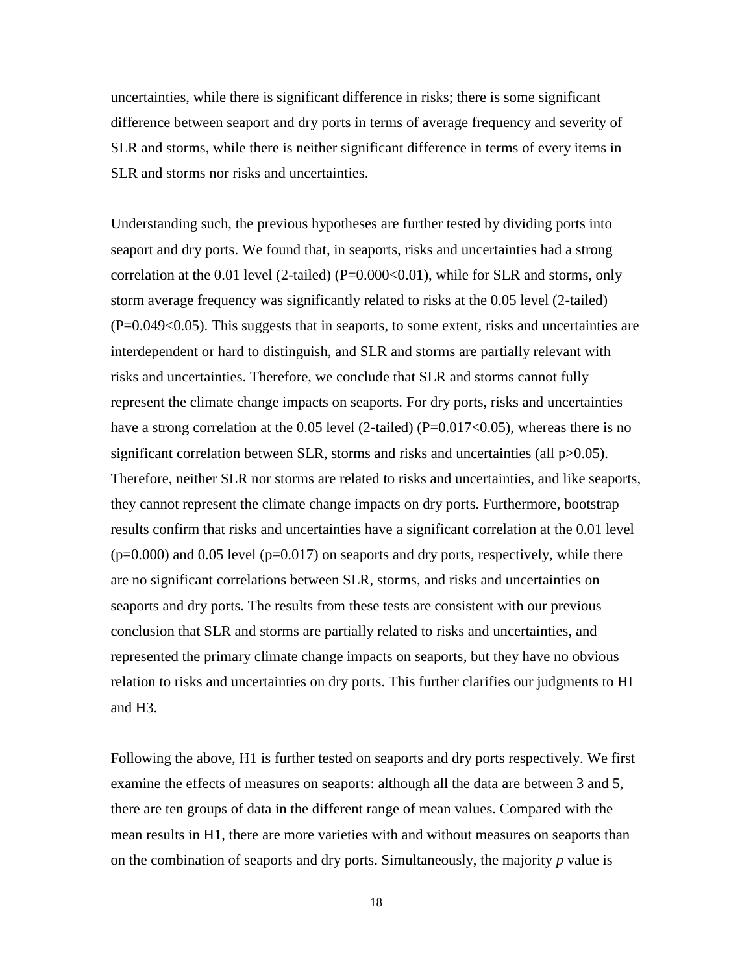uncertainties, while there is significant difference in risks; there is some significant difference between seaport and dry ports in terms of average frequency and severity of SLR and storms, while there is neither significant difference in terms of every items in SLR and storms nor risks and uncertainties.

Understanding such, the previous hypotheses are further tested by dividing ports into seaport and dry ports. We found that, in seaports, risks and uncertainties had a strong correlation at the 0.01 level (2-tailed) ( $P=0.000<0.01$ ), while for SLR and storms, only storm average frequency was significantly related to risks at the 0.05 level (2-tailed) (P=0.049<0.05). This suggests that in seaports, to some extent, risks and uncertainties are interdependent or hard to distinguish, and SLR and storms are partially relevant with risks and uncertainties. Therefore, we conclude that SLR and storms cannot fully represent the climate change impacts on seaports. For dry ports, risks and uncertainties have a strong correlation at the 0.05 level (2-tailed) ( $P=0.017<0.05$ ), whereas there is no significant correlation between SLR, storms and risks and uncertainties (all  $p>0.05$ ). Therefore, neither SLR nor storms are related to risks and uncertainties, and like seaports, they cannot represent the climate change impacts on dry ports. Furthermore, bootstrap results confirm that risks and uncertainties have a significant correlation at the 0.01 level  $(p=0.000)$  and 0.05 level  $(p=0.017)$  on seaports and dry ports, respectively, while there are no significant correlations between SLR, storms, and risks and uncertainties on seaports and dry ports. The results from these tests are consistent with our previous conclusion that SLR and storms are partially related to risks and uncertainties, and represented the primary climate change impacts on seaports, but they have no obvious relation to risks and uncertainties on dry ports. This further clarifies our judgments to HI and H3.

Following the above, H1 is further tested on seaports and dry ports respectively. We first examine the effects of measures on seaports: although all the data are between 3 and 5, there are ten groups of data in the different range of mean values. Compared with the mean results in H1, there are more varieties with and without measures on seaports than on the combination of seaports and dry ports. Simultaneously, the majority *p* value is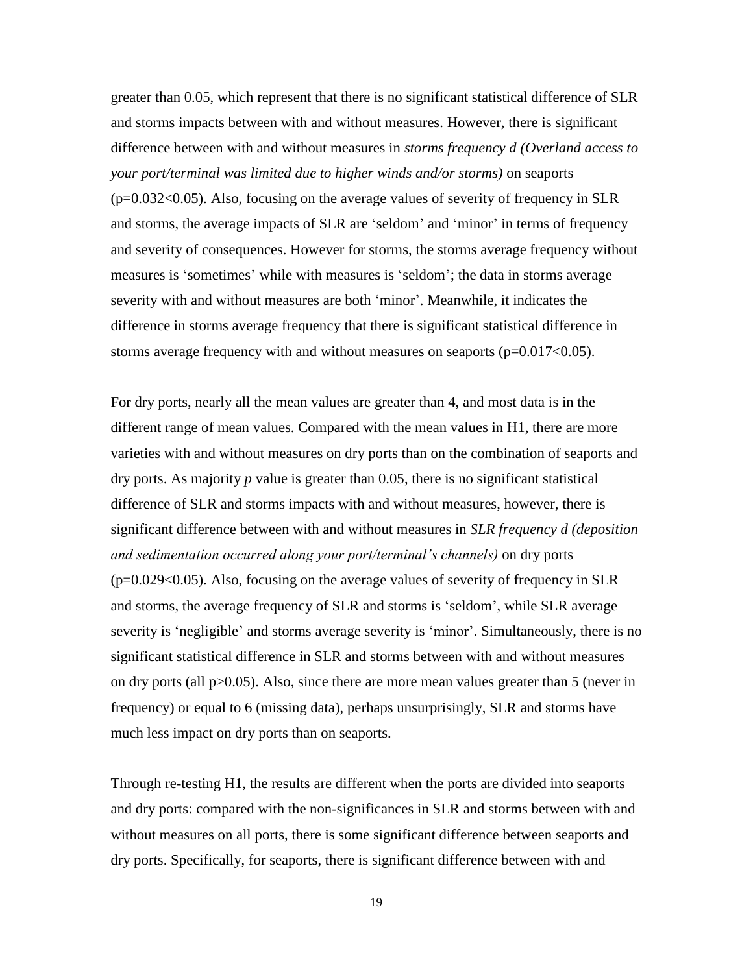greater than 0.05, which represent that there is no significant statistical difference of SLR and storms impacts between with and without measures. However, there is significant difference between with and without measures in *storms frequency d (Overland access to your port/terminal was limited due to higher winds and/or storms)* on seaports  $(p=0.032<0.05)$ . Also, focusing on the average values of severity of frequency in SLR and storms, the average impacts of SLR are 'seldom' and 'minor' in terms of frequency and severity of consequences. However for storms, the storms average frequency without measures is 'sometimes' while with measures is 'seldom'; the data in storms average severity with and without measures are both 'minor'. Meanwhile, it indicates the difference in storms average frequency that there is significant statistical difference in storms average frequency with and without measures on seaports ( $p=0.017<0.05$ ).

For dry ports, nearly all the mean values are greater than 4, and most data is in the different range of mean values. Compared with the mean values in H1, there are more varieties with and without measures on dry ports than on the combination of seaports and dry ports. As majority *p* value is greater than 0.05, there is no significant statistical difference of SLR and storms impacts with and without measures, however, there is significant difference between with and without measures in *SLR frequency d (deposition and sedimentation occurred along your port/terminal's channels)* on dry ports (p=0.029<0.05). Also, focusing on the average values of severity of frequency in SLR and storms, the average frequency of SLR and storms is 'seldom', while SLR average severity is 'negligible' and storms average severity is 'minor'. Simultaneously, there is no significant statistical difference in SLR and storms between with and without measures on dry ports (all p>0.05). Also, since there are more mean values greater than 5 (never in frequency) or equal to 6 (missing data), perhaps unsurprisingly, SLR and storms have much less impact on dry ports than on seaports.

Through re-testing H1, the results are different when the ports are divided into seaports and dry ports: compared with the non-significances in SLR and storms between with and without measures on all ports, there is some significant difference between seaports and dry ports. Specifically, for seaports, there is significant difference between with and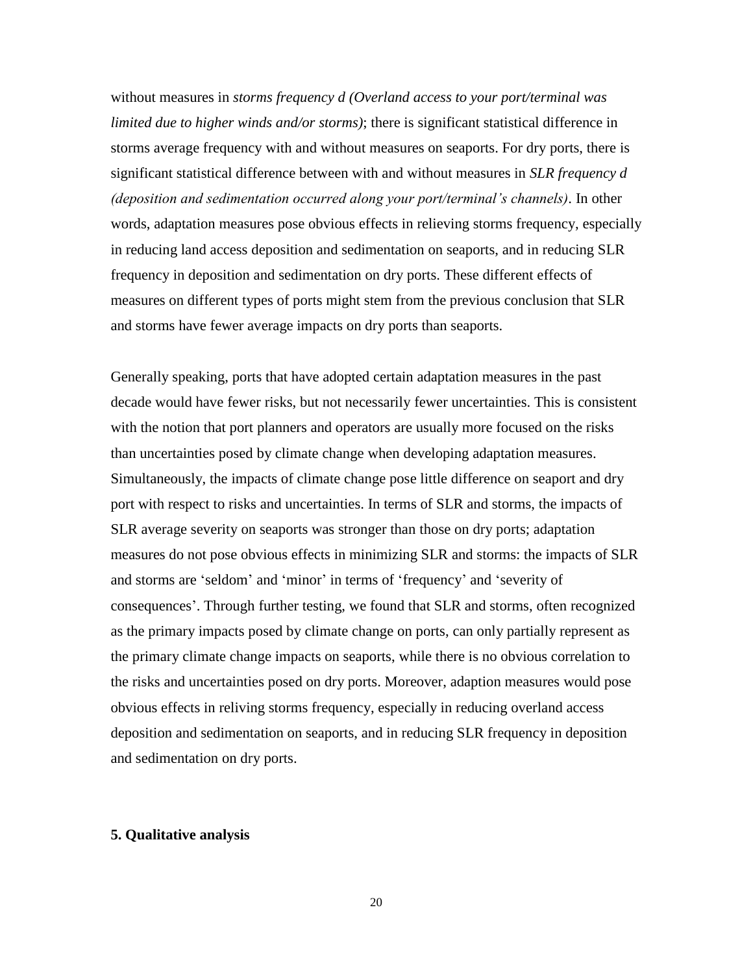without measures in *storms frequency d (Overland access to your port/terminal was limited due to higher winds and/or storms)*; there is significant statistical difference in storms average frequency with and without measures on seaports. For dry ports, there is significant statistical difference between with and without measures in *SLR frequency d (deposition and sedimentation occurred along your port/terminal's channels)*. In other words, adaptation measures pose obvious effects in relieving storms frequency, especially in reducing land access deposition and sedimentation on seaports, and in reducing SLR frequency in deposition and sedimentation on dry ports. These different effects of measures on different types of ports might stem from the previous conclusion that SLR and storms have fewer average impacts on dry ports than seaports.

Generally speaking, ports that have adopted certain adaptation measures in the past decade would have fewer risks, but not necessarily fewer uncertainties. This is consistent with the notion that port planners and operators are usually more focused on the risks than uncertainties posed by climate change when developing adaptation measures. Simultaneously, the impacts of climate change pose little difference on seaport and dry port with respect to risks and uncertainties. In terms of SLR and storms, the impacts of SLR average severity on seaports was stronger than those on dry ports; adaptation measures do not pose obvious effects in minimizing SLR and storms: the impacts of SLR and storms are 'seldom' and 'minor' in terms of 'frequency' and 'severity of consequences'. Through further testing, we found that SLR and storms, often recognized as the primary impacts posed by climate change on ports, can only partially represent as the primary climate change impacts on seaports, while there is no obvious correlation to the risks and uncertainties posed on dry ports. Moreover, adaption measures would pose obvious effects in reliving storms frequency, especially in reducing overland access deposition and sedimentation on seaports, and in reducing SLR frequency in deposition and sedimentation on dry ports.

### **5. Qualitative analysis**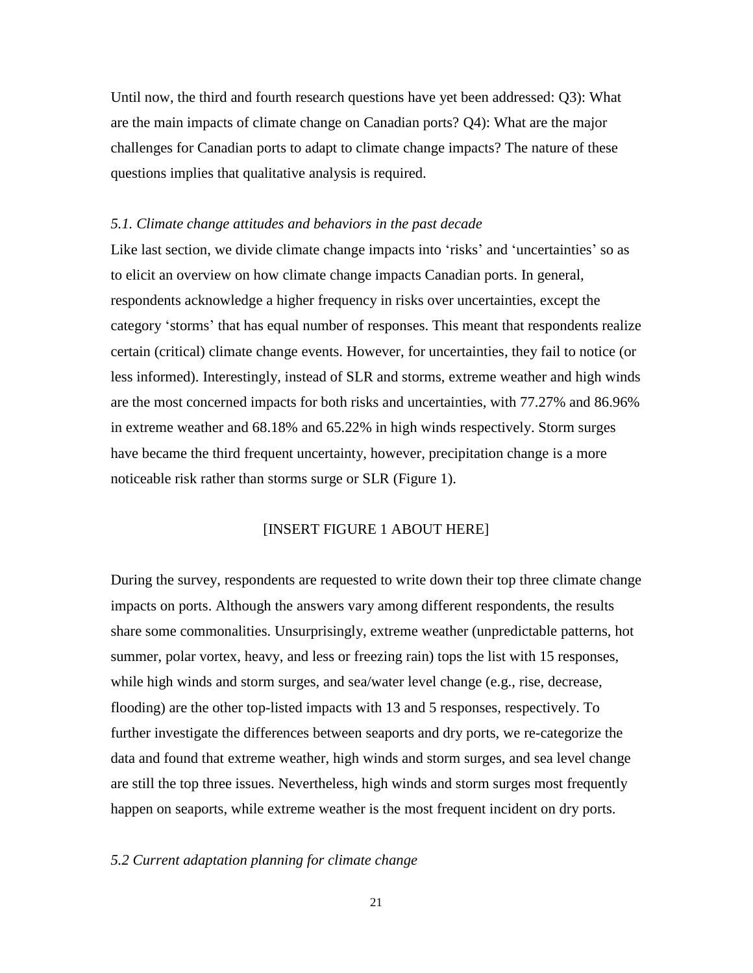Until now, the third and fourth research questions have yet been addressed: Q3): What are the main impacts of climate change on Canadian ports? Q4): What are the major challenges for Canadian ports to adapt to climate change impacts? The nature of these questions implies that qualitative analysis is required.

#### *5.1. Climate change attitudes and behaviors in the past decade*

Like last section, we divide climate change impacts into 'risks' and 'uncertainties' so as to elicit an overview on how climate change impacts Canadian ports. In general, respondents acknowledge a higher frequency in risks over uncertainties, except the category 'storms' that has equal number of responses. This meant that respondents realize certain (critical) climate change events. However, for uncertainties, they fail to notice (or less informed). Interestingly, instead of SLR and storms, extreme weather and high winds are the most concerned impacts for both risks and uncertainties, with 77.27% and 86.96% in extreme weather and 68.18% and 65.22% in high winds respectively. Storm surges have became the third frequent uncertainty, however, precipitation change is a more noticeable risk rather than storms surge or SLR (Figure 1).

# [INSERT FIGURE 1 ABOUT HERE]

During the survey, respondents are requested to write down their top three climate change impacts on ports. Although the answers vary among different respondents, the results share some commonalities. Unsurprisingly, extreme weather (unpredictable patterns, hot summer, polar vortex, heavy, and less or freezing rain) tops the list with 15 responses, while high winds and storm surges, and sea/water level change (e.g., rise, decrease, flooding) are the other top-listed impacts with 13 and 5 responses, respectively. To further investigate the differences between seaports and dry ports, we re-categorize the data and found that extreme weather, high winds and storm surges, and sea level change are still the top three issues. Nevertheless, high winds and storm surges most frequently happen on seaports, while extreme weather is the most frequent incident on dry ports.

## *5.2 Current adaptation planning for climate change*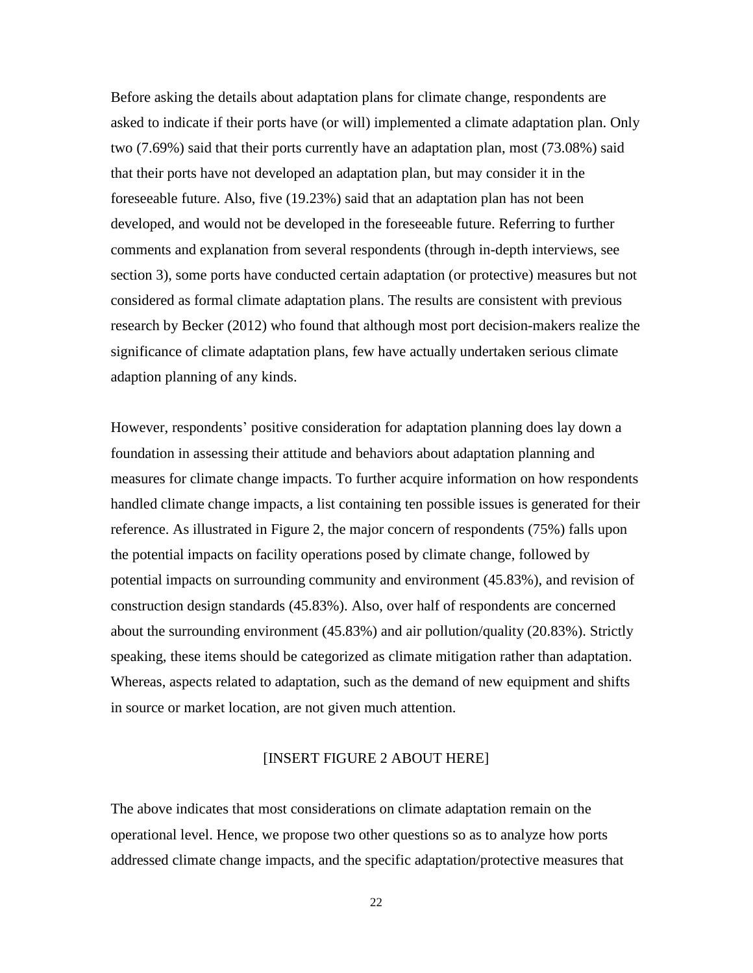Before asking the details about adaptation plans for climate change, respondents are asked to indicate if their ports have (or will) implemented a climate adaptation plan. Only two (7.69%) said that their ports currently have an adaptation plan, most (73.08%) said that their ports have not developed an adaptation plan, but may consider it in the foreseeable future. Also, five (19.23%) said that an adaptation plan has not been developed, and would not be developed in the foreseeable future. Referring to further comments and explanation from several respondents (through in-depth interviews, see section 3), some ports have conducted certain adaptation (or protective) measures but not considered as formal climate adaptation plans. The results are consistent with previous research by Becker (2012) who found that although most port decision-makers realize the significance of climate adaptation plans, few have actually undertaken serious climate adaption planning of any kinds.

However, respondents' positive consideration for adaptation planning does lay down a foundation in assessing their attitude and behaviors about adaptation planning and measures for climate change impacts. To further acquire information on how respondents handled climate change impacts, a list containing ten possible issues is generated for their reference. As illustrated in Figure 2, the major concern of respondents (75%) falls upon the potential impacts on facility operations posed by climate change, followed by potential impacts on surrounding community and environment (45.83%), and revision of construction design standards (45.83%). Also, over half of respondents are concerned about the surrounding environment (45.83%) and air pollution/quality (20.83%). Strictly speaking, these items should be categorized as climate mitigation rather than adaptation. Whereas, aspects related to adaptation, such as the demand of new equipment and shifts in source or market location, are not given much attention.

### [INSERT FIGURE 2 ABOUT HERE]

The above indicates that most considerations on climate adaptation remain on the operational level. Hence, we propose two other questions so as to analyze how ports addressed climate change impacts, and the specific adaptation/protective measures that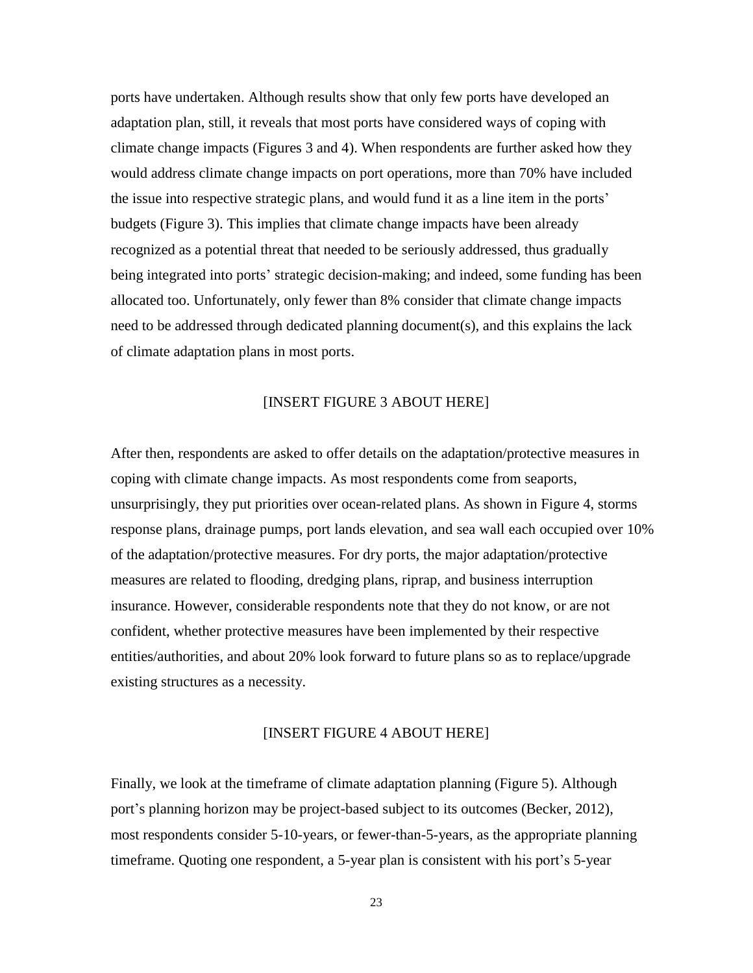ports have undertaken. Although results show that only few ports have developed an adaptation plan, still, it reveals that most ports have considered ways of coping with climate change impacts (Figures 3 and 4). When respondents are further asked how they would address climate change impacts on port operations, more than 70% have included the issue into respective strategic plans, and would fund it as a line item in the ports' budgets (Figure 3). This implies that climate change impacts have been already recognized as a potential threat that needed to be seriously addressed, thus gradually being integrated into ports' strategic decision-making; and indeed, some funding has been allocated too. Unfortunately, only fewer than 8% consider that climate change impacts need to be addressed through dedicated planning document(s), and this explains the lack of climate adaptation plans in most ports.

#### [INSERT FIGURE 3 ABOUT HERE]

After then, respondents are asked to offer details on the adaptation/protective measures in coping with climate change impacts. As most respondents come from seaports, unsurprisingly, they put priorities over ocean-related plans. As shown in Figure 4, storms response plans, drainage pumps, port lands elevation, and sea wall each occupied over 10% of the adaptation/protective measures. For dry ports, the major adaptation/protective measures are related to flooding, dredging plans, riprap, and business interruption insurance. However, considerable respondents note that they do not know, or are not confident, whether protective measures have been implemented by their respective entities/authorities, and about 20% look forward to future plans so as to replace/upgrade existing structures as a necessity.

# [INSERT FIGURE 4 ABOUT HERE]

Finally, we look at the timeframe of climate adaptation planning (Figure 5). Although port's planning horizon may be project-based subject to its outcomes (Becker, 2012), most respondents consider 5-10-years, or fewer-than-5-years, as the appropriate planning timeframe. Quoting one respondent, a 5-year plan is consistent with his port's 5-year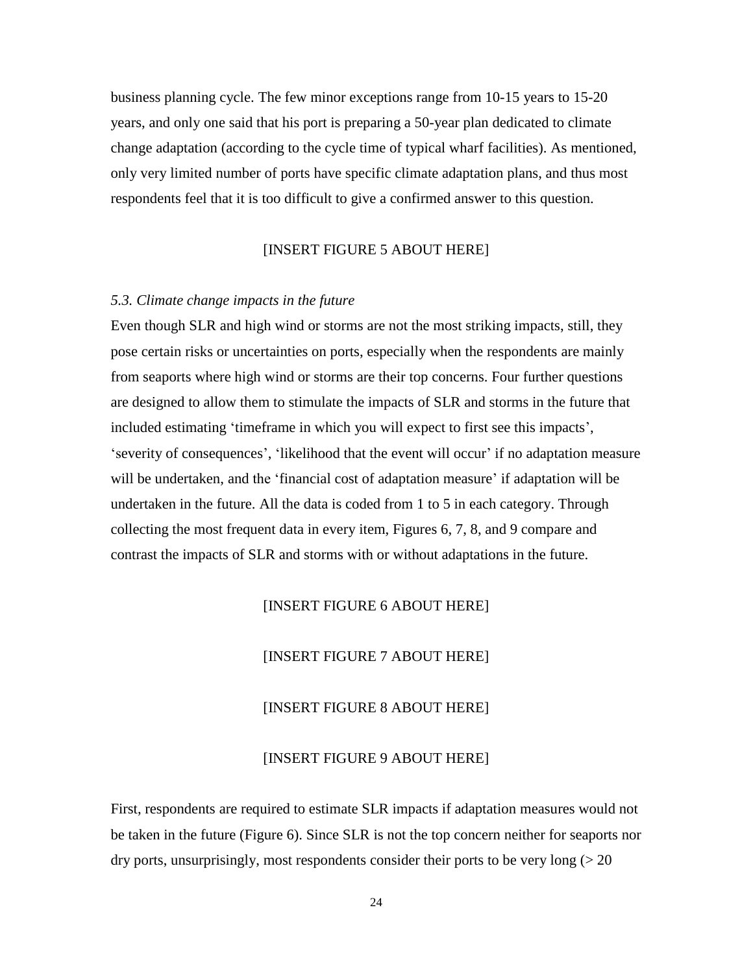business planning cycle. The few minor exceptions range from 10-15 years to 15-20 years, and only one said that his port is preparing a 50-year plan dedicated to climate change adaptation (according to the cycle time of typical wharf facilities). As mentioned, only very limited number of ports have specific climate adaptation plans, and thus most respondents feel that it is too difficult to give a confirmed answer to this question.

## [INSERT FIGURE 5 ABOUT HERE]

#### *5.3. Climate change impacts in the future*

Even though SLR and high wind or storms are not the most striking impacts, still, they pose certain risks or uncertainties on ports, especially when the respondents are mainly from seaports where high wind or storms are their top concerns. Four further questions are designed to allow them to stimulate the impacts of SLR and storms in the future that included estimating 'timeframe in which you will expect to first see this impacts', 'severity of consequences', 'likelihood that the event will occur' if no adaptation measure will be undertaken, and the 'financial cost of adaptation measure' if adaptation will be undertaken in the future. All the data is coded from 1 to 5 in each category. Through collecting the most frequent data in every item, Figures 6, 7, 8, and 9 compare and contrast the impacts of SLR and storms with or without adaptations in the future.

#### [INSERT FIGURE 6 ABOUT HERE]

## [INSERT FIGURE 7 ABOUT HERE]

#### [INSERT FIGURE 8 ABOUT HERE]

#### [INSERT FIGURE 9 ABOUT HERE]

First, respondents are required to estimate SLR impacts if adaptation measures would not be taken in the future (Figure 6). Since SLR is not the top concern neither for seaports nor dry ports, unsurprisingly, most respondents consider their ports to be very long ( $>$  20)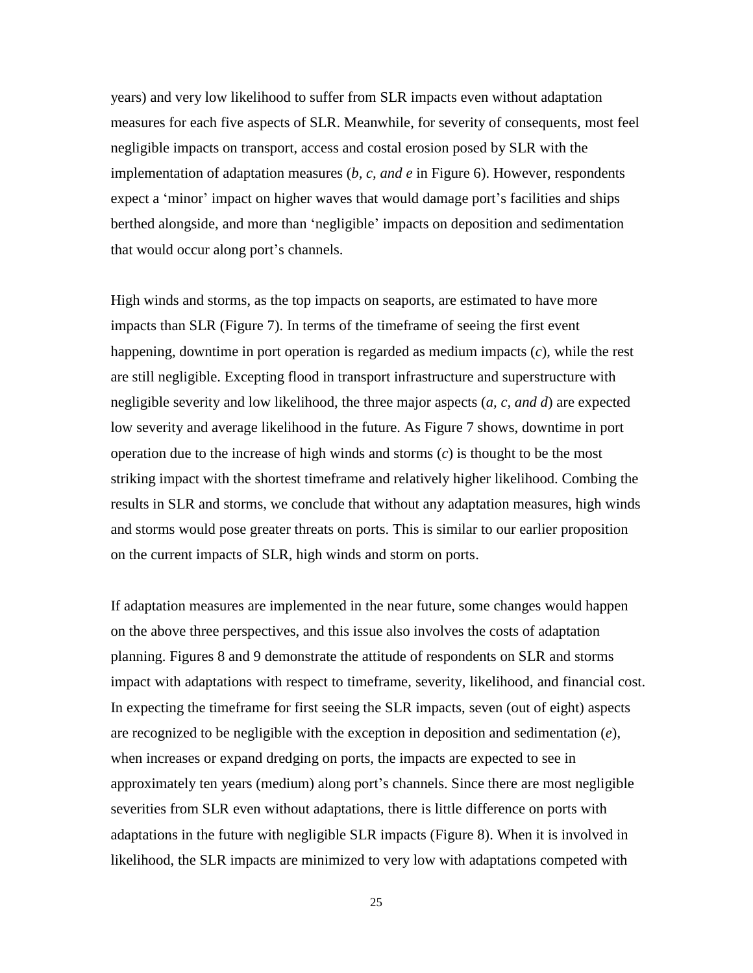years) and very low likelihood to suffer from SLR impacts even without adaptation measures for each five aspects of SLR. Meanwhile, for severity of consequents, most feel negligible impacts on transport, access and costal erosion posed by SLR with the implementation of adaptation measures (*b, c, and e* in Figure 6). However, respondents expect a 'minor' impact on higher waves that would damage port's facilities and ships berthed alongside, and more than 'negligible' impacts on deposition and sedimentation that would occur along port's channels.

High winds and storms, as the top impacts on seaports, are estimated to have more impacts than SLR (Figure 7). In terms of the timeframe of seeing the first event happening, downtime in port operation is regarded as medium impacts (*c*), while the rest are still negligible. Excepting flood in transport infrastructure and superstructure with negligible severity and low likelihood, the three major aspects (*a, c, and d*) are expected low severity and average likelihood in the future. As Figure 7 shows, downtime in port operation due to the increase of high winds and storms (*c*) is thought to be the most striking impact with the shortest timeframe and relatively higher likelihood. Combing the results in SLR and storms, we conclude that without any adaptation measures, high winds and storms would pose greater threats on ports. This is similar to our earlier proposition on the current impacts of SLR, high winds and storm on ports.

If adaptation measures are implemented in the near future, some changes would happen on the above three perspectives, and this issue also involves the costs of adaptation planning. Figures 8 and 9 demonstrate the attitude of respondents on SLR and storms impact with adaptations with respect to timeframe, severity, likelihood, and financial cost. In expecting the timeframe for first seeing the SLR impacts, seven (out of eight) aspects are recognized to be negligible with the exception in deposition and sedimentation (*e*), when increases or expand dredging on ports, the impacts are expected to see in approximately ten years (medium) along port's channels. Since there are most negligible severities from SLR even without adaptations, there is little difference on ports with adaptations in the future with negligible SLR impacts (Figure 8). When it is involved in likelihood, the SLR impacts are minimized to very low with adaptations competed with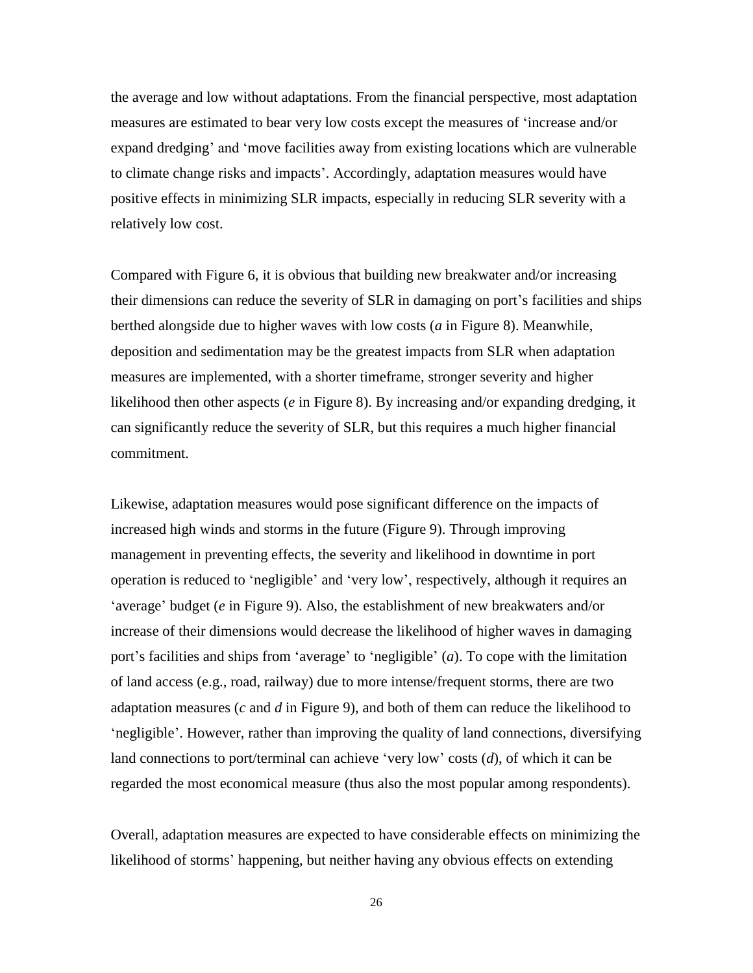the average and low without adaptations. From the financial perspective, most adaptation measures are estimated to bear very low costs except the measures of 'increase and/or expand dredging' and 'move facilities away from existing locations which are vulnerable to climate change risks and impacts'. Accordingly, adaptation measures would have positive effects in minimizing SLR impacts, especially in reducing SLR severity with a relatively low cost.

Compared with Figure 6, it is obvious that building new breakwater and/or increasing their dimensions can reduce the severity of SLR in damaging on port's facilities and ships berthed alongside due to higher waves with low costs (*a* in Figure 8). Meanwhile, deposition and sedimentation may be the greatest impacts from SLR when adaptation measures are implemented, with a shorter timeframe, stronger severity and higher likelihood then other aspects (*e* in Figure 8). By increasing and/or expanding dredging, it can significantly reduce the severity of SLR, but this requires a much higher financial commitment.

Likewise, adaptation measures would pose significant difference on the impacts of increased high winds and storms in the future (Figure 9). Through improving management in preventing effects, the severity and likelihood in downtime in port operation is reduced to 'negligible' and 'very low', respectively, although it requires an 'average' budget (*e* in Figure 9). Also, the establishment of new breakwaters and/or increase of their dimensions would decrease the likelihood of higher waves in damaging port's facilities and ships from 'average' to 'negligible' (*a*). To cope with the limitation of land access (e.g., road, railway) due to more intense/frequent storms, there are two adaptation measures (*c* and *d* in Figure 9), and both of them can reduce the likelihood to 'negligible'. However, rather than improving the quality of land connections, diversifying land connections to port/terminal can achieve 'very low' costs (*d*), of which it can be regarded the most economical measure (thus also the most popular among respondents).

Overall, adaptation measures are expected to have considerable effects on minimizing the likelihood of storms' happening, but neither having any obvious effects on extending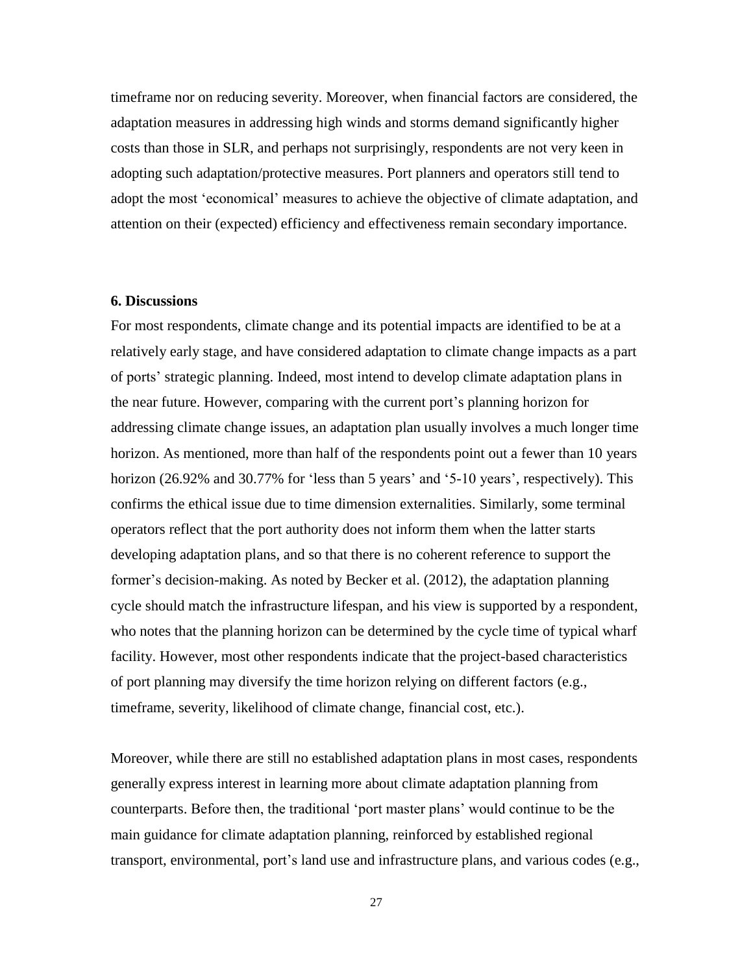timeframe nor on reducing severity. Moreover, when financial factors are considered, the adaptation measures in addressing high winds and storms demand significantly higher costs than those in SLR, and perhaps not surprisingly, respondents are not very keen in adopting such adaptation/protective measures. Port planners and operators still tend to adopt the most 'economical' measures to achieve the objective of climate adaptation, and attention on their (expected) efficiency and effectiveness remain secondary importance.

#### **6. Discussions**

For most respondents, climate change and its potential impacts are identified to be at a relatively early stage, and have considered adaptation to climate change impacts as a part of ports' strategic planning. Indeed, most intend to develop climate adaptation plans in the near future. However, comparing with the current port's planning horizon for addressing climate change issues, an adaptation plan usually involves a much longer time horizon. As mentioned, more than half of the respondents point out a fewer than 10 years horizon (26.92% and 30.77% for 'less than 5 years' and '5-10 years', respectively). This confirms the ethical issue due to time dimension externalities. Similarly, some terminal operators reflect that the port authority does not inform them when the latter starts developing adaptation plans, and so that there is no coherent reference to support the former's decision-making. As noted by Becker et al. (2012), the adaptation planning cycle should match the infrastructure lifespan, and his view is supported by a respondent, who notes that the planning horizon can be determined by the cycle time of typical wharf facility. However, most other respondents indicate that the project-based characteristics of port planning may diversify the time horizon relying on different factors (e.g., timeframe, severity, likelihood of climate change, financial cost, etc.).

Moreover, while there are still no established adaptation plans in most cases, respondents generally express interest in learning more about climate adaptation planning from counterparts. Before then, the traditional 'port master plans' would continue to be the main guidance for climate adaptation planning, reinforced by established regional transport, environmental, port's land use and infrastructure plans, and various codes (e.g.,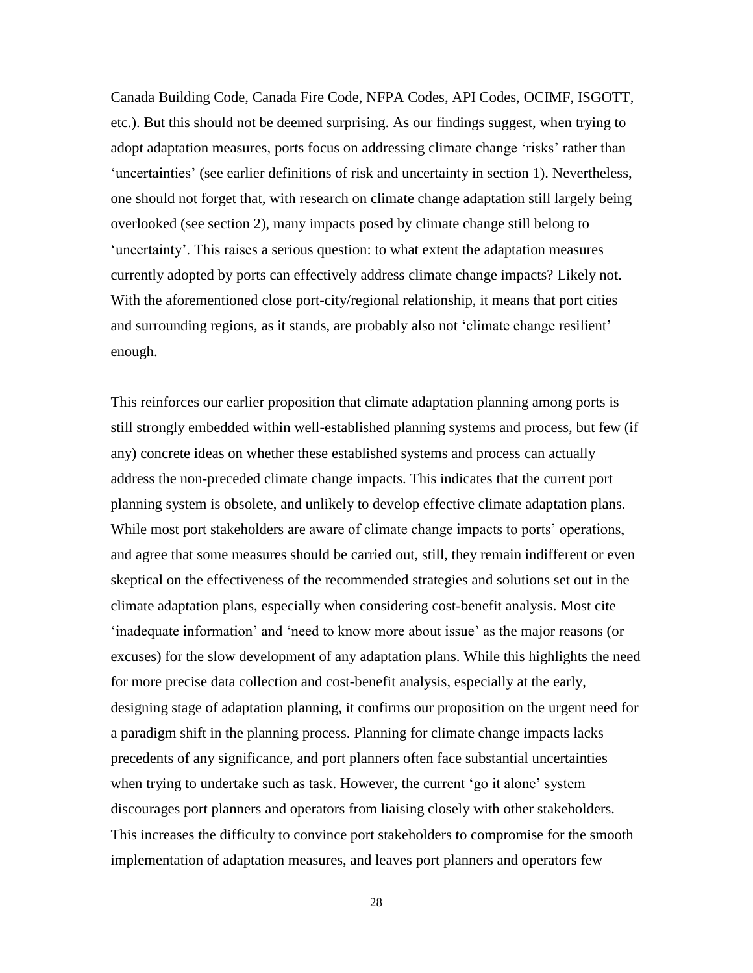Canada Building Code, Canada Fire Code, NFPA Codes, API Codes, OCIMF, ISGOTT, etc.). But this should not be deemed surprising. As our findings suggest, when trying to adopt adaptation measures, ports focus on addressing climate change 'risks' rather than 'uncertainties' (see earlier definitions of risk and uncertainty in section 1). Nevertheless, one should not forget that, with research on climate change adaptation still largely being overlooked (see section 2), many impacts posed by climate change still belong to 'uncertainty'. This raises a serious question: to what extent the adaptation measures currently adopted by ports can effectively address climate change impacts? Likely not. With the aforementioned close port-city/regional relationship, it means that port cities and surrounding regions, as it stands, are probably also not 'climate change resilient' enough.

This reinforces our earlier proposition that climate adaptation planning among ports is still strongly embedded within well-established planning systems and process, but few (if any) concrete ideas on whether these established systems and process can actually address the non-preceded climate change impacts. This indicates that the current port planning system is obsolete, and unlikely to develop effective climate adaptation plans. While most port stakeholders are aware of climate change impacts to ports' operations, and agree that some measures should be carried out, still, they remain indifferent or even skeptical on the effectiveness of the recommended strategies and solutions set out in the climate adaptation plans, especially when considering cost-benefit analysis. Most cite 'inadequate information' and 'need to know more about issue' as the major reasons (or excuses) for the slow development of any adaptation plans. While this highlights the need for more precise data collection and cost-benefit analysis, especially at the early, designing stage of adaptation planning, it confirms our proposition on the urgent need for a paradigm shift in the planning process. Planning for climate change impacts lacks precedents of any significance, and port planners often face substantial uncertainties when trying to undertake such as task. However, the current 'go it alone' system discourages port planners and operators from liaising closely with other stakeholders. This increases the difficulty to convince port stakeholders to compromise for the smooth implementation of adaptation measures, and leaves port planners and operators few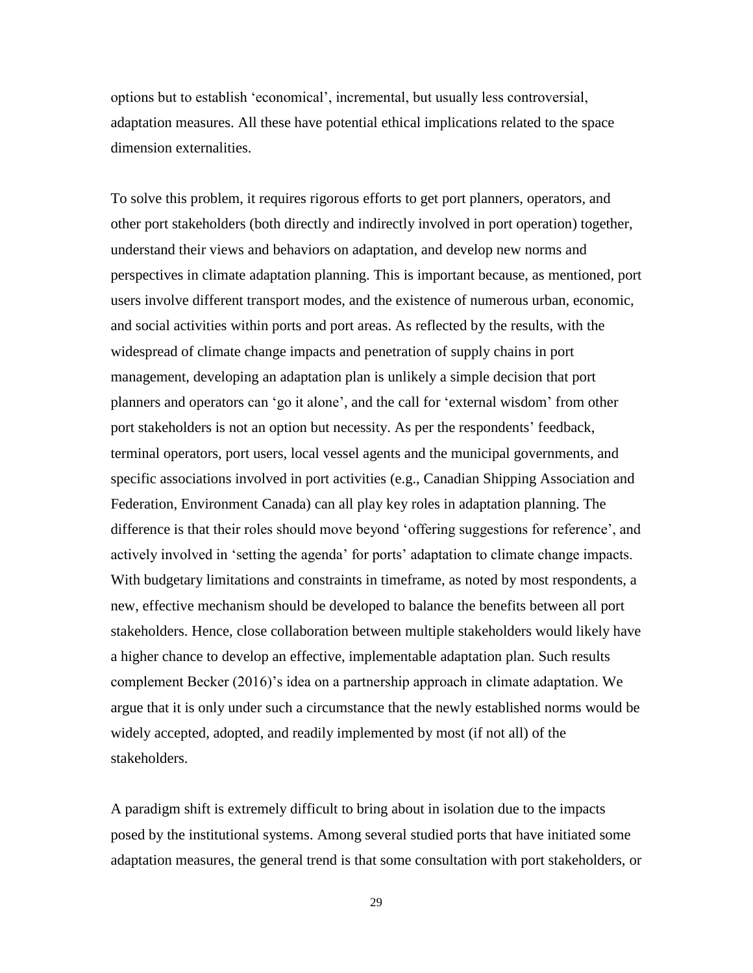options but to establish 'economical', incremental, but usually less controversial, adaptation measures. All these have potential ethical implications related to the space dimension externalities.

To solve this problem, it requires rigorous efforts to get port planners, operators, and other port stakeholders (both directly and indirectly involved in port operation) together, understand their views and behaviors on adaptation, and develop new norms and perspectives in climate adaptation planning. This is important because, as mentioned, port users involve different transport modes, and the existence of numerous urban, economic, and social activities within ports and port areas. As reflected by the results, with the widespread of climate change impacts and penetration of supply chains in port management, developing an adaptation plan is unlikely a simple decision that port planners and operators can 'go it alone', and the call for 'external wisdom' from other port stakeholders is not an option but necessity. As per the respondents' feedback, terminal operators, port users, local vessel agents and the municipal governments, and specific associations involved in port activities (e.g., Canadian Shipping Association and Federation, Environment Canada) can all play key roles in adaptation planning. The difference is that their roles should move beyond 'offering suggestions for reference', and actively involved in 'setting the agenda' for ports' adaptation to climate change impacts. With budgetary limitations and constraints in timeframe, as noted by most respondents, a new, effective mechanism should be developed to balance the benefits between all port stakeholders. Hence, close collaboration between multiple stakeholders would likely have a higher chance to develop an effective, implementable adaptation plan. Such results complement Becker (2016)'s idea on a partnership approach in climate adaptation. We argue that it is only under such a circumstance that the newly established norms would be widely accepted, adopted, and readily implemented by most (if not all) of the stakeholders.

A paradigm shift is extremely difficult to bring about in isolation due to the impacts posed by the institutional systems. Among several studied ports that have initiated some adaptation measures, the general trend is that some consultation with port stakeholders, or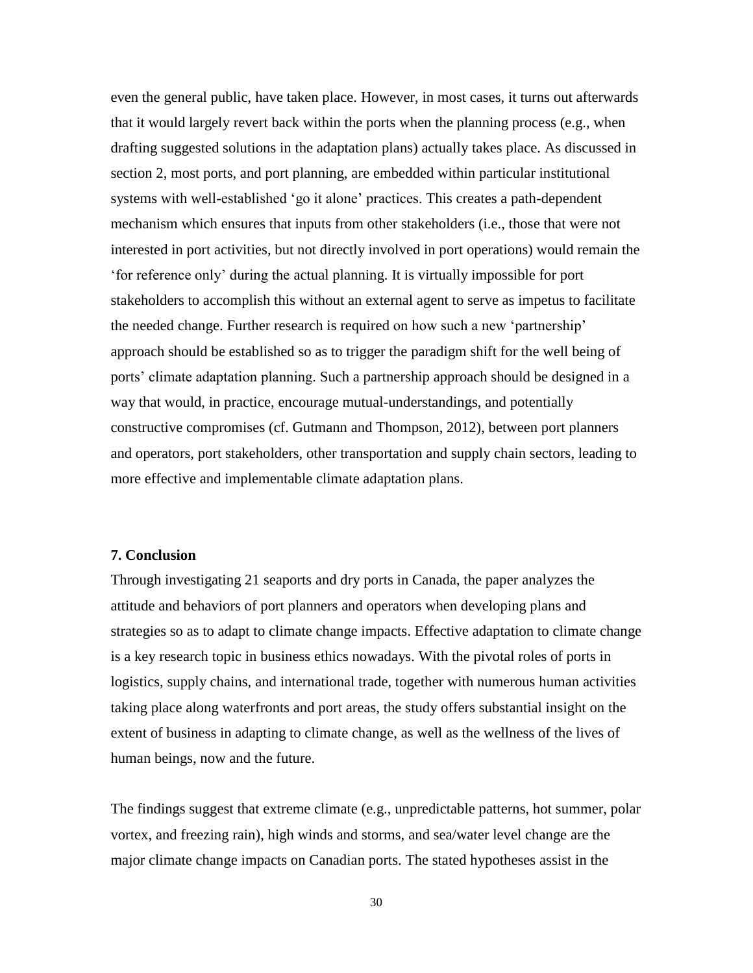even the general public, have taken place. However, in most cases, it turns out afterwards that it would largely revert back within the ports when the planning process (e.g., when drafting suggested solutions in the adaptation plans) actually takes place. As discussed in section 2, most ports, and port planning, are embedded within particular institutional systems with well-established 'go it alone' practices. This creates a path-dependent mechanism which ensures that inputs from other stakeholders (i.e., those that were not interested in port activities, but not directly involved in port operations) would remain the 'for reference only' during the actual planning. It is virtually impossible for port stakeholders to accomplish this without an external agent to serve as impetus to facilitate the needed change. Further research is required on how such a new 'partnership' approach should be established so as to trigger the paradigm shift for the well being of ports' climate adaptation planning. Such a partnership approach should be designed in a way that would, in practice, encourage mutual-understandings, and potentially constructive compromises (cf. Gutmann and Thompson, 2012), between port planners and operators, port stakeholders, other transportation and supply chain sectors, leading to more effective and implementable climate adaptation plans.

#### **7. Conclusion**

Through investigating 21 seaports and dry ports in Canada, the paper analyzes the attitude and behaviors of port planners and operators when developing plans and strategies so as to adapt to climate change impacts. Effective adaptation to climate change is a key research topic in business ethics nowadays. With the pivotal roles of ports in logistics, supply chains, and international trade, together with numerous human activities taking place along waterfronts and port areas, the study offers substantial insight on the extent of business in adapting to climate change, as well as the wellness of the lives of human beings, now and the future.

The findings suggest that extreme climate (e.g., unpredictable patterns, hot summer, polar vortex, and freezing rain), high winds and storms, and sea/water level change are the major climate change impacts on Canadian ports. The stated hypotheses assist in the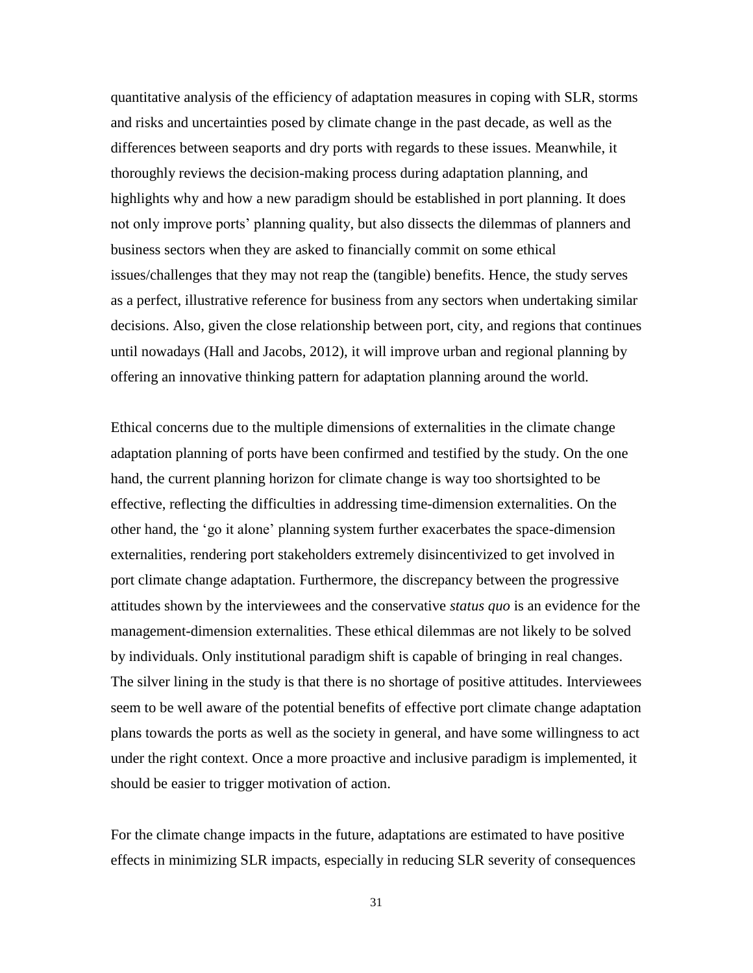quantitative analysis of the efficiency of adaptation measures in coping with SLR, storms and risks and uncertainties posed by climate change in the past decade, as well as the differences between seaports and dry ports with regards to these issues. Meanwhile, it thoroughly reviews the decision-making process during adaptation planning, and highlights why and how a new paradigm should be established in port planning. It does not only improve ports' planning quality, but also dissects the dilemmas of planners and business sectors when they are asked to financially commit on some ethical issues/challenges that they may not reap the (tangible) benefits. Hence, the study serves as a perfect, illustrative reference for business from any sectors when undertaking similar decisions. Also, given the close relationship between port, city, and regions that continues until nowadays (Hall and Jacobs, 2012), it will improve urban and regional planning by offering an innovative thinking pattern for adaptation planning around the world.

Ethical concerns due to the multiple dimensions of externalities in the climate change adaptation planning of ports have been confirmed and testified by the study. On the one hand, the current planning horizon for climate change is way too shortsighted to be effective, reflecting the difficulties in addressing time-dimension externalities. On the other hand, the 'go it alone' planning system further exacerbates the space-dimension externalities, rendering port stakeholders extremely disincentivized to get involved in port climate change adaptation. Furthermore, the discrepancy between the progressive attitudes shown by the interviewees and the conservative *status quo* is an evidence for the management-dimension externalities. These ethical dilemmas are not likely to be solved by individuals. Only institutional paradigm shift is capable of bringing in real changes. The silver lining in the study is that there is no shortage of positive attitudes. Interviewees seem to be well aware of the potential benefits of effective port climate change adaptation plans towards the ports as well as the society in general, and have some willingness to act under the right context. Once a more proactive and inclusive paradigm is implemented, it should be easier to trigger motivation of action.

For the climate change impacts in the future, adaptations are estimated to have positive effects in minimizing SLR impacts, especially in reducing SLR severity of consequences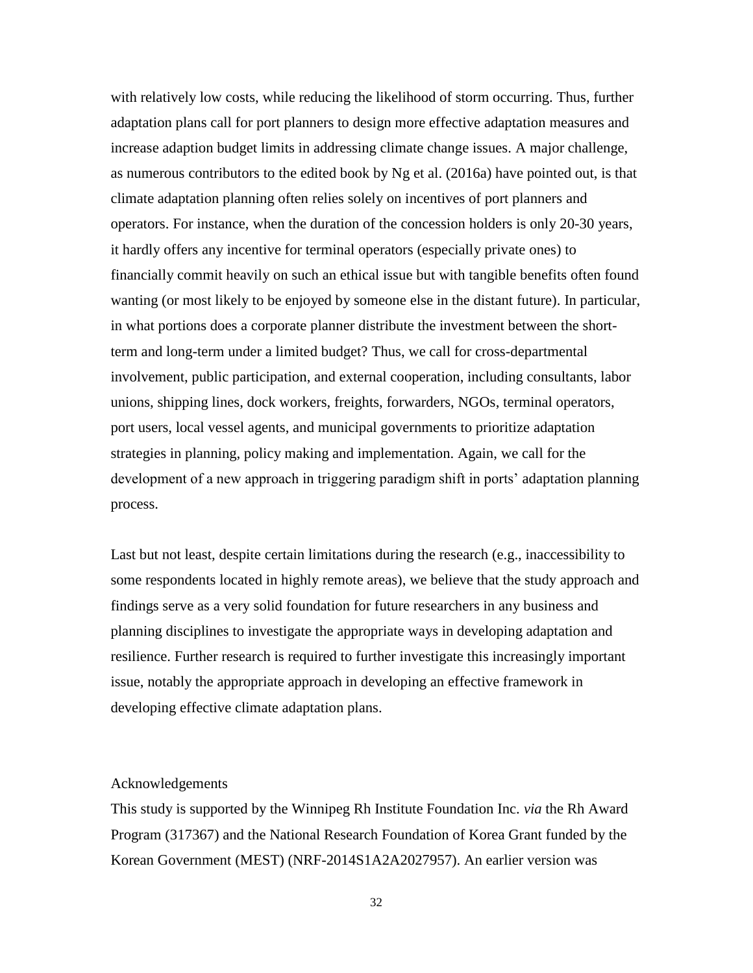with relatively low costs, while reducing the likelihood of storm occurring. Thus, further adaptation plans call for port planners to design more effective adaptation measures and increase adaption budget limits in addressing climate change issues. A major challenge, as numerous contributors to the edited book by Ng et al. (2016a) have pointed out, is that climate adaptation planning often relies solely on incentives of port planners and operators. For instance, when the duration of the concession holders is only 20-30 years, it hardly offers any incentive for terminal operators (especially private ones) to financially commit heavily on such an ethical issue but with tangible benefits often found wanting (or most likely to be enjoyed by someone else in the distant future). In particular, in what portions does a corporate planner distribute the investment between the shortterm and long-term under a limited budget? Thus, we call for cross-departmental involvement, public participation, and external cooperation, including consultants, labor unions, shipping lines, dock workers, freights, forwarders, NGOs, terminal operators, port users, local vessel agents, and municipal governments to prioritize adaptation strategies in planning, policy making and implementation. Again, we call for the development of a new approach in triggering paradigm shift in ports' adaptation planning process.

Last but not least, despite certain limitations during the research (e.g., inaccessibility to some respondents located in highly remote areas), we believe that the study approach and findings serve as a very solid foundation for future researchers in any business and planning disciplines to investigate the appropriate ways in developing adaptation and resilience. Further research is required to further investigate this increasingly important issue, notably the appropriate approach in developing an effective framework in developing effective climate adaptation plans.

#### Acknowledgements

This study is supported by the Winnipeg Rh Institute Foundation Inc. *via* the Rh Award Program (317367) and the National Research Foundation of Korea Grant funded by the Korean Government (MEST) (NRF-2014S1A2A2027957). An earlier version was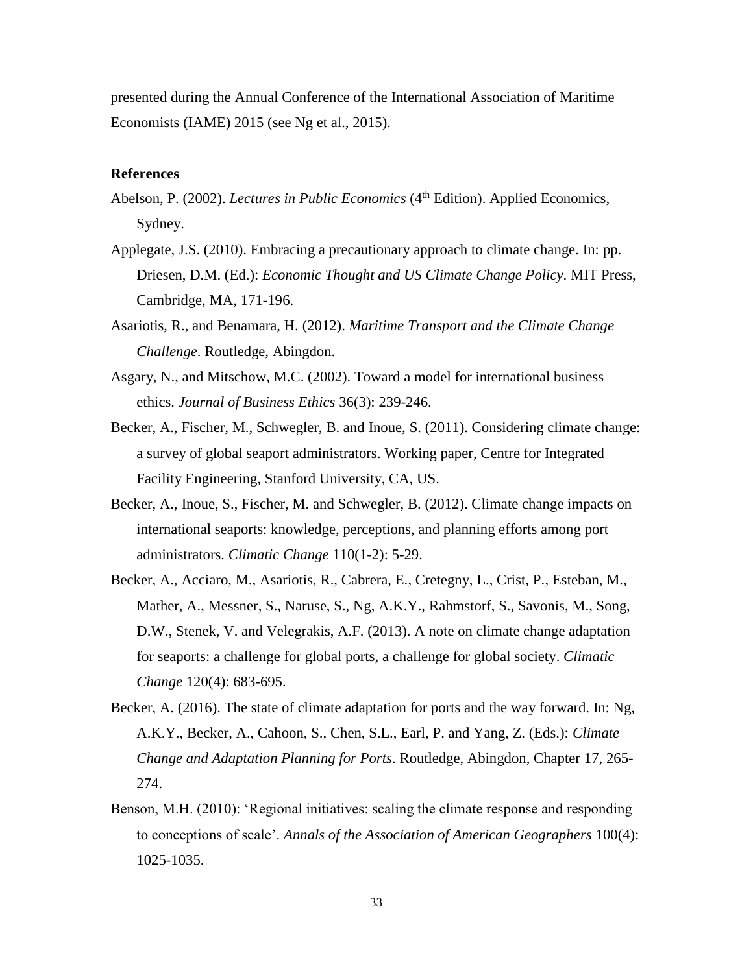presented during the Annual Conference of the International Association of Maritime Economists (IAME) 2015 (see Ng et al., 2015).

### **References**

- Abelson, P. (2002). *Lectures in Public Economics* (4<sup>th</sup> Edition). Applied Economics, Sydney.
- Applegate, J.S. (2010). Embracing a precautionary approach to climate change. In: pp. Driesen, D.M. (Ed.): *Economic Thought and US Climate Change Policy*. MIT Press, Cambridge, MA, 171-196.
- Asariotis, R., and Benamara, H. (2012). *Maritime Transport and the Climate Change Challenge*. Routledge, Abingdon.
- Asgary, N., and Mitschow, M.C. (2002). Toward a model for international business ethics. *Journal of Business Ethics* 36(3): 239-246.
- Becker, A., Fischer, M., Schwegler, B. and Inoue, S. (2011). Considering climate change: a survey of global seaport administrators. Working paper, Centre for Integrated Facility Engineering, Stanford University, CA, US.
- Becker, A., Inoue, S., Fischer, M. and Schwegler, B. (2012). Climate change impacts on international seaports: knowledge, perceptions, and planning efforts among port administrators. *Climatic Change* 110(1-2): 5-29.
- Becker, A., Acciaro, M., Asariotis, R., Cabrera, E., Cretegny, L., Crist, P., Esteban, M., Mather, A., Messner, S., Naruse, S., Ng, A.K.Y., Rahmstorf, S., Savonis, M., Song, D.W., Stenek, V. and Velegrakis, A.F. (2013). A note on climate change adaptation for seaports: a challenge for global ports, a challenge for global society. *Climatic Change* 120(4): 683-695.
- Becker, A. (2016). The state of climate adaptation for ports and the way forward. In: Ng, A.K.Y., Becker, A., Cahoon, S., Chen, S.L., Earl, P. and Yang, Z. (Eds.): *Climate Change and Adaptation Planning for Ports*. Routledge, Abingdon, Chapter 17, 265- 274.
- Benson, M.H. (2010): 'Regional initiatives: scaling the climate response and responding to conceptions of scale'. *Annals of the Association of American Geographers* 100(4): 1025-1035.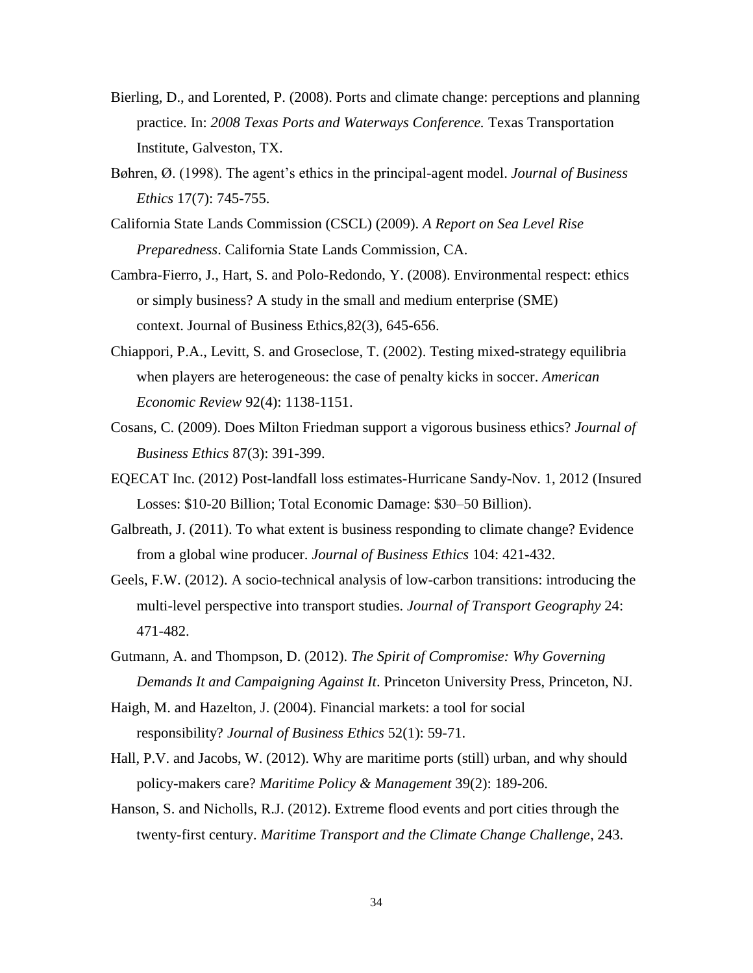- Bierling, D., and Lorented, P. (2008). Ports and climate change: perceptions and planning practice. In: *2008 Texas Ports and Waterways Conference.* Texas Transportation Institute, Galveston, TX.
- Bøhren, Ø. (1998). The agent's ethics in the principal-agent model. *Journal of Business Ethics* 17(7): 745-755.
- California State Lands Commission (CSCL) (2009). *A Report on Sea Level Rise Preparedness*. California State Lands Commission, CA.
- Cambra-Fierro, J., Hart, S. and Polo-Redondo, Y. (2008). Environmental respect: ethics or simply business? A study in the small and medium enterprise (SME) context. Journal of Business Ethics,82(3), 645-656.
- Chiappori, P.A., Levitt, S. and Groseclose, T. (2002). Testing mixed-strategy equilibria when players are heterogeneous: the case of penalty kicks in soccer. *American Economic Review* 92(4): 1138-1151.
- Cosans, C. (2009). Does Milton Friedman support a vigorous business ethics? *Journal of Business Ethics* 87(3): 391-399.
- EQECAT Inc. (2012) Post-landfall loss estimates-Hurricane Sandy-Nov. 1, 2012 (Insured Losses: \$10-20 Billion; Total Economic Damage: \$30–50 Billion).
- Galbreath, J. (2011). To what extent is business responding to climate change? Evidence from a global wine producer. *Journal of Business Ethics* 104: 421-432.
- Geels, F.W. (2012). A socio-technical analysis of low-carbon transitions: introducing the multi-level perspective into transport studies. *Journal of Transport Geography* 24: 471-482.
- Gutmann, A. and Thompson, D. (2012). *The Spirit of Compromise: Why Governing Demands It and Campaigning Against It*. Princeton University Press, Princeton, NJ.
- Haigh, M. and Hazelton, J. (2004). Financial markets: a tool for social responsibility? *Journal of Business Ethics* 52(1): 59-71.
- Hall, P.V. and Jacobs, W. (2012). Why are maritime ports (still) urban, and why should policy-makers care? *Maritime Policy & Management* 39(2): 189-206.
- Hanson, S. and Nicholls, R.J. (2012). Extreme flood events and port cities through the twenty-first century. *Maritime Transport and the Climate Change Challenge*, 243.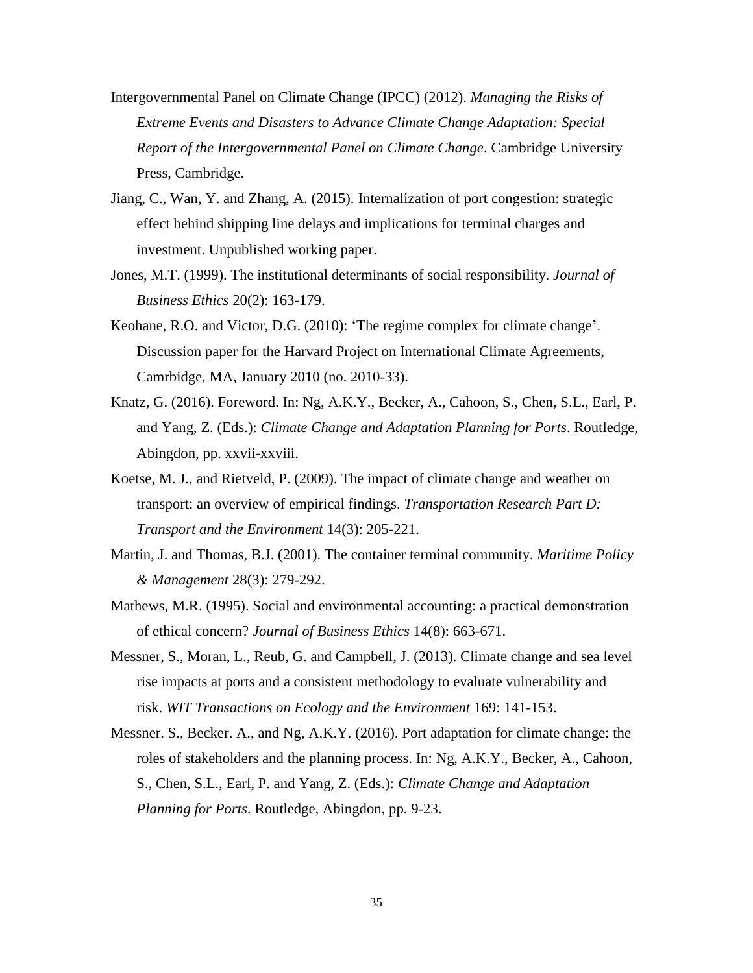- Intergovernmental Panel on Climate Change (IPCC) (2012). *Managing the Risks of Extreme Events and Disasters to Advance Climate Change Adaptation: Special Report of the Intergovernmental Panel on Climate Change*. Cambridge University Press, Cambridge.
- Jiang, C., Wan, Y. and Zhang, A. (2015). Internalization of port congestion: strategic effect behind shipping line delays and implications for terminal charges and investment. Unpublished working paper.
- Jones, M.T. (1999). The institutional determinants of social responsibility. *Journal of Business Ethics* 20(2): 163-179.
- Keohane, R.O. and Victor, D.G. (2010): 'The regime complex for climate change'. Discussion paper for the Harvard Project on International Climate Agreements, Camrbidge, MA, January 2010 (no. 2010-33).
- Knatz, G. (2016). Foreword. In: Ng, A.K.Y., Becker, A., Cahoon, S., Chen, S.L., Earl, P. and Yang, Z. (Eds.): *Climate Change and Adaptation Planning for Ports*. Routledge, Abingdon, pp. xxvii-xxviii.
- Koetse, M. J., and Rietveld, P. (2009). The impact of climate change and weather on transport: an overview of empirical findings. *Transportation Research Part D: Transport and the Environment* 14(3): 205-221.
- Martin, J. and Thomas, B.J. (2001). The container terminal community. *Maritime Policy & Management* 28(3): 279-292.
- Mathews, M.R. (1995). Social and environmental accounting: a practical demonstration of ethical concern? *Journal of Business Ethics* 14(8): 663-671.
- Messner, S., Moran, L., Reub, G. and Campbell, J. (2013). Climate change and sea level rise impacts at ports and a consistent methodology to evaluate vulnerability and risk. *WIT Transactions on Ecology and the Environment* 169: 141-153.
- Messner. S., Becker. A., and Ng, A.K.Y. (2016). Port adaptation for climate change: the roles of stakeholders and the planning process. In: Ng, A.K.Y., Becker, A., Cahoon, S., Chen, S.L., Earl, P. and Yang, Z. (Eds.): *Climate Change and Adaptation Planning for Ports*. Routledge, Abingdon, pp. 9-23.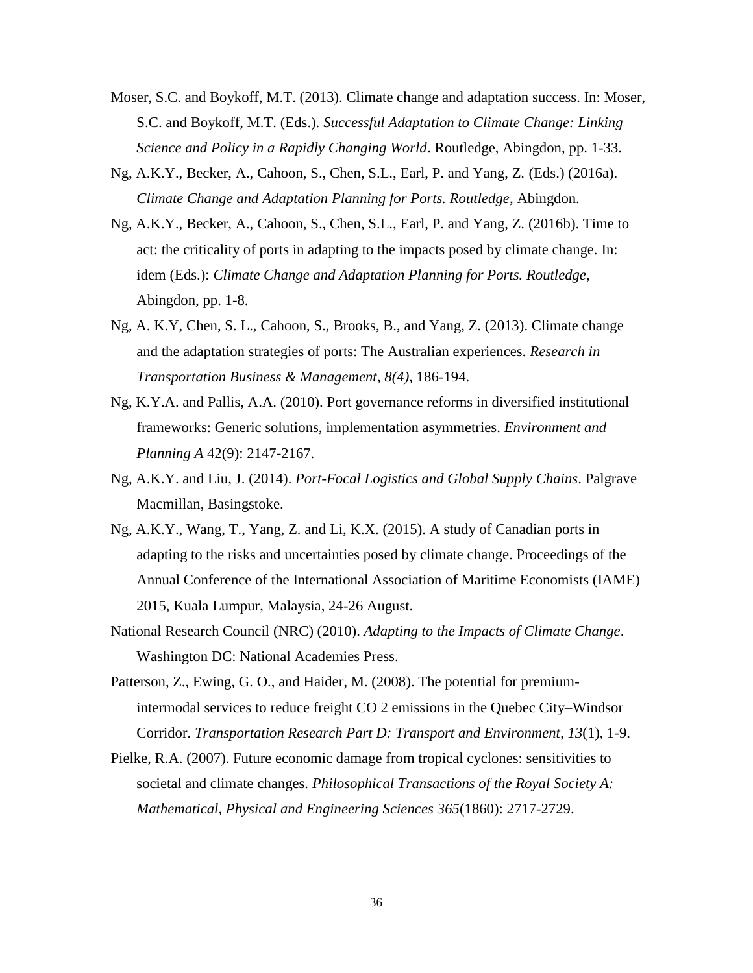- Moser, S.C. and Boykoff, M.T. (2013). Climate change and adaptation success. In: Moser, S.C. and Boykoff, M.T. (Eds.). *Successful Adaptation to Climate Change: Linking Science and Policy in a Rapidly Changing World*. Routledge, Abingdon, pp. 1-33.
- Ng, A.K.Y., Becker, A., Cahoon, S., Chen, S.L., Earl, P. and Yang, Z. (Eds.) (2016a). *Climate Change and Adaptation Planning for Ports. Routledge*, Abingdon.
- Ng, A.K.Y., Becker, A., Cahoon, S., Chen, S.L., Earl, P. and Yang, Z. (2016b). Time to act: the criticality of ports in adapting to the impacts posed by climate change. In: idem (Eds.): *Climate Change and Adaptation Planning for Ports. Routledge*, Abingdon, pp. 1-8.
- Ng, A. K.Y, Chen, S. L., Cahoon, S., Brooks, B., and Yang, Z. (2013). Climate change and the adaptation strategies of ports: The Australian experiences. *Research in Transportation Business & Management*, *8(4)*, 186-194.
- Ng, K.Y.A. and Pallis, A.A. (2010). Port governance reforms in diversified institutional frameworks: Generic solutions, implementation asymmetries. *Environment and Planning A* 42(9): 2147-2167.
- Ng, A.K.Y. and Liu, J. (2014). *Port-Focal Logistics and Global Supply Chains*. Palgrave Macmillan, Basingstoke.
- Ng, A.K.Y., Wang, T., Yang, Z. and Li, K.X. (2015). A study of Canadian ports in adapting to the risks and uncertainties posed by climate change. Proceedings of the Annual Conference of the International Association of Maritime Economists (IAME) 2015, Kuala Lumpur, Malaysia, 24-26 August.
- National Research Council (NRC) (2010). *Adapting to the Impacts of Climate Change*. Washington DC: National Academies Press.
- Patterson, Z., Ewing, G. O., and Haider, M. (2008). The potential for premiumintermodal services to reduce freight CO 2 emissions in the Quebec City–Windsor Corridor. *Transportation Research Part D: Transport and Environment*, *13*(1), 1-9.
- Pielke, R.A. (2007). Future economic damage from tropical cyclones: sensitivities to societal and climate changes. *Philosophical Transactions of the Royal Society A: Mathematical, Physical and Engineering Sciences 365*(1860): 2717-2729.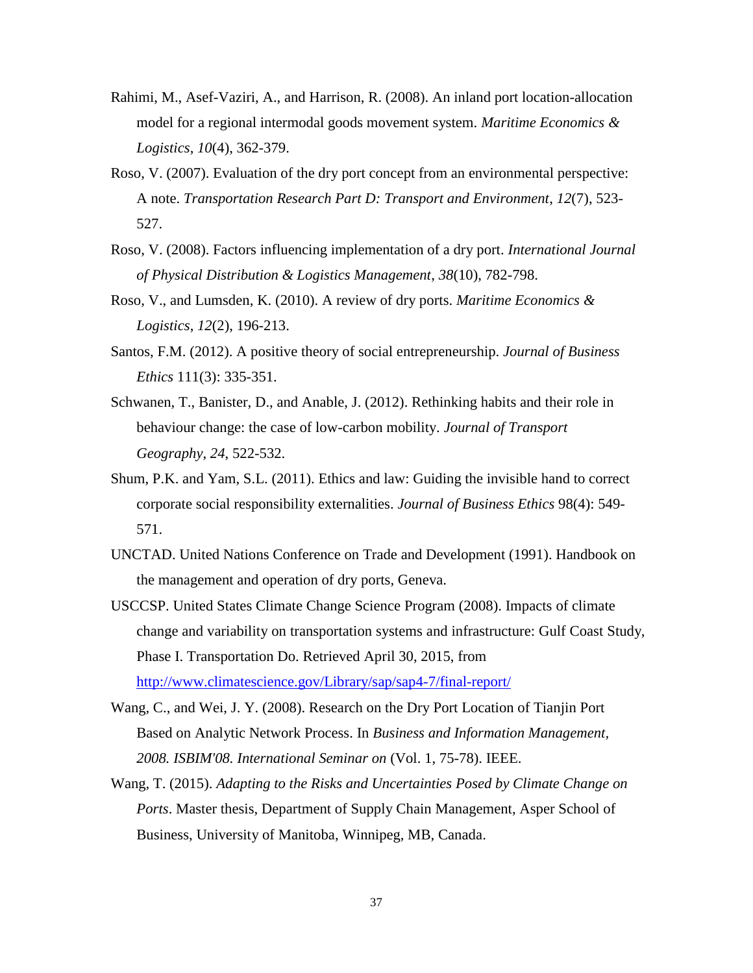- Rahimi, M., Asef-Vaziri, A., and Harrison, R. (2008). An inland port location-allocation model for a regional intermodal goods movement system. *Maritime Economics & Logistics*, *10*(4), 362-379.
- Roso, V. (2007). Evaluation of the dry port concept from an environmental perspective: A note. *Transportation Research Part D: Transport and Environment*, *12*(7), 523- 527.
- Roso, V. (2008). Factors influencing implementation of a dry port. *International Journal of Physical Distribution & Logistics Management*, *38*(10), 782-798.
- Roso, V., and Lumsden, K. (2010). A review of dry ports. *Maritime Economics & Logistics*, *12*(2), 196-213.
- Santos, F.M. (2012). A positive theory of social entrepreneurship. *Journal of Business Ethics* 111(3): 335-351.
- Schwanen, T., Banister, D., and Anable, J. (2012). Rethinking habits and their role in behaviour change: the case of low-carbon mobility. *Journal of Transport Geography*, *24*, 522-532.
- Shum, P.K. and Yam, S.L. (2011). Ethics and law: Guiding the invisible hand to correct corporate social responsibility externalities. *Journal of Business Ethics* 98(4): 549- 571.
- UNCTAD. United Nations Conference on Trade and Development (1991). Handbook on the management and operation of dry ports, Geneva.
- USCCSP. United States Climate Change Science Program (2008). Impacts of climate change and variability on transportation systems and infrastructure: Gulf Coast Study, Phase I. Transportation Do. Retrieved April 30, 2015, from <http://www.climatescience.gov/Library/sap/sap4-7/final-report/>
- Wang, C., and Wei, J. Y. (2008). Research on the Dry Port Location of Tianjin Port Based on Analytic Network Process. In *Business and Information Management, 2008. ISBIM'08. International Seminar on* (Vol. 1, 75-78). IEEE.
- Wang, T. (2015). *Adapting to the Risks and Uncertainties Posed by Climate Change on Ports*. Master thesis, Department of Supply Chain Management, Asper School of Business, University of Manitoba, Winnipeg, MB, Canada.